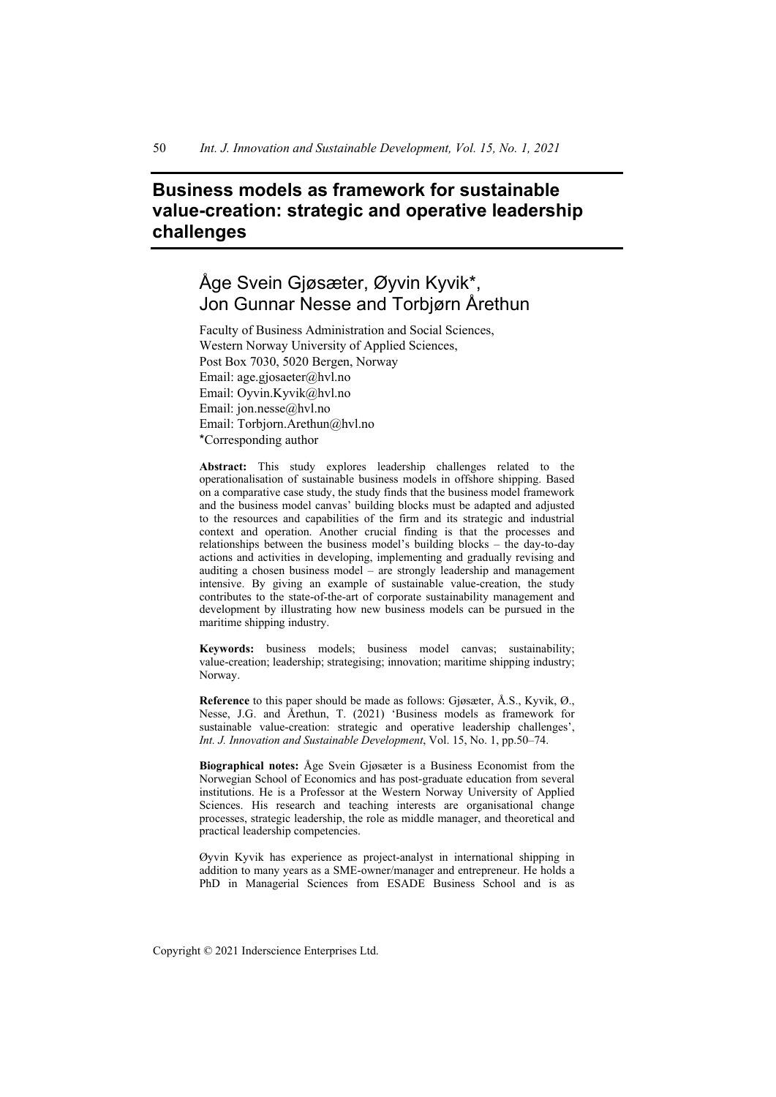# **Business models as framework for sustainable value-creation: strategic and operative leadership challenges**

# Åge Svein Gjøsæter, Øyvin Kyvik\*, Jon Gunnar Nesse and Torbjørn Årethun

Faculty of Business Administration and Social Sciences, Western Norway University of Applied Sciences, Post Box 7030, 5020 Bergen, Norway Email: age.gjosaeter@hvl.no Email: Oyvin.Kyvik@hvl.no Email: jon.nesse@hvl.no Email: Torbjorn.Arethun@hvl.no \*Corresponding author

**Abstract:** This study explores leadership challenges related to the operationalisation of sustainable business models in offshore shipping. Based on a comparative case study, the study finds that the business model framework and the business model canvas' building blocks must be adapted and adjusted to the resources and capabilities of the firm and its strategic and industrial context and operation. Another crucial finding is that the processes and relationships between the business model's building blocks – the day-to-day actions and activities in developing, implementing and gradually revising and auditing a chosen business model – are strongly leadership and management intensive. By giving an example of sustainable value-creation, the study contributes to the state-of-the-art of corporate sustainability management and development by illustrating how new business models can be pursued in the maritime shipping industry.

**Keywords:** business models; business model canvas; sustainability; value-creation; leadership; strategising; innovation; maritime shipping industry; Norway.

**Reference** to this paper should be made as follows: Gjøsæter, Å.S., Kyvik, Ø., Nesse, J.G. and Årethun, T. (2021) 'Business models as framework for sustainable value-creation: strategic and operative leadership challenges', *Int. J. Innovation and Sustainable Development*, Vol. 15, No. 1, pp.50–74.

**Biographical notes:** Åge Svein Gjøsæter is a Business Economist from the Norwegian School of Economics and has post-graduate education from several institutions. He is a Professor at the Western Norway University of Applied Sciences. His research and teaching interests are organisational change processes, strategic leadership, the role as middle manager, and theoretical and practical leadership competencies.

Øyvin Kyvik has experience as project-analyst in international shipping in addition to many years as a SME-owner/manager and entrepreneur. He holds a PhD in Managerial Sciences from ESADE Business School and is as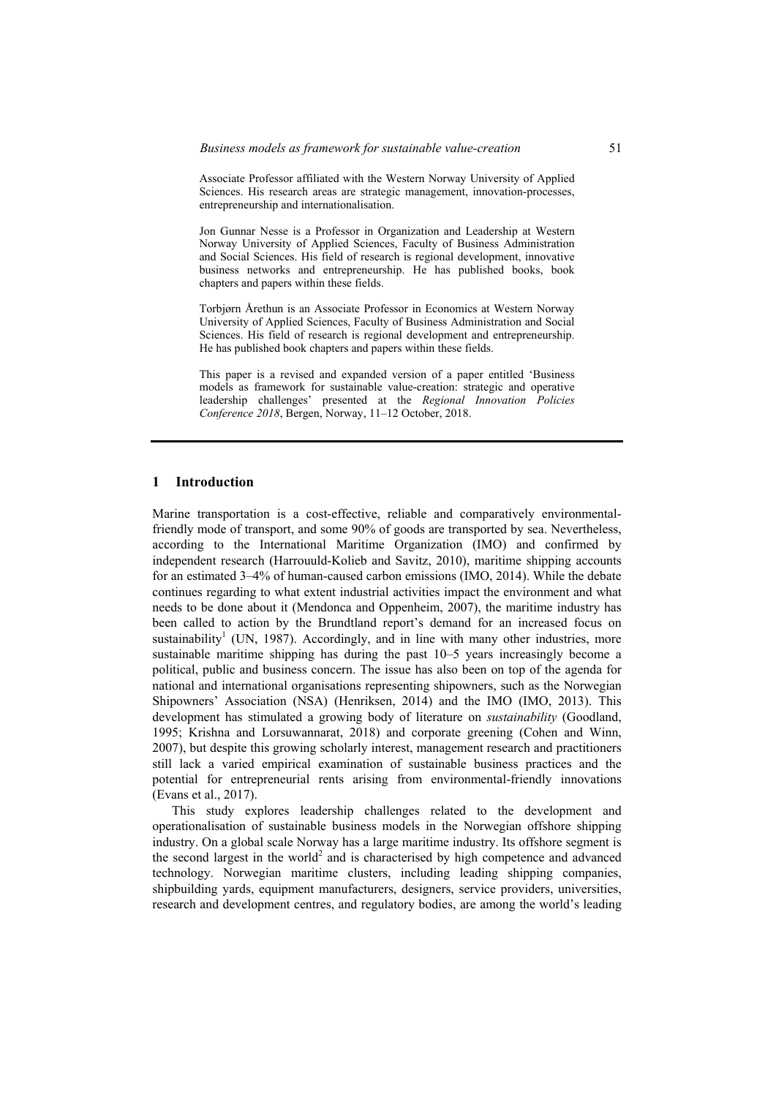Associate Professor affiliated with the Western Norway University of Applied Sciences. His research areas are strategic management, innovation-processes, entrepreneurship and internationalisation.

Jon Gunnar Nesse is a Professor in Organization and Leadership at Western Norway University of Applied Sciences, Faculty of Business Administration and Social Sciences. His field of research is regional development, innovative business networks and entrepreneurship. He has published books, book chapters and papers within these fields.

Torbjørn Årethun is an Associate Professor in Economics at Western Norway University of Applied Sciences, Faculty of Business Administration and Social Sciences. His field of research is regional development and entrepreneurship. He has published book chapters and papers within these fields.

This paper is a revised and expanded version of a paper entitled 'Business models as framework for sustainable value-creation: strategic and operative leadership challenges' presented at the *Regional Innovation Policies Conference 2018*, Bergen, Norway, 11–12 October, 2018.

#### **1 Introduction**

Marine transportation is a cost-effective, reliable and comparatively environmentalfriendly mode of transport, and some 90% of goods are transported by sea. Nevertheless, according to the International Maritime Organization (IMO) and confirmed by independent research (Harrouuld-Kolieb and Savitz, 2010), maritime shipping accounts for an estimated 3–4% of human-caused carbon emissions (IMO, 2014). While the debate continues regarding to what extent industrial activities impact the environment and what needs to be done about it (Mendonca and Oppenheim, 2007), the maritime industry has been called to action by the Brundtland report's demand for an increased focus on sustainability<sup>1</sup> (UN, 1987). Accordingly, and in line with many other industries, more sustainable maritime shipping has during the past 10–5 years increasingly become a political, public and business concern. The issue has also been on top of the agenda for national and international organisations representing shipowners, such as the Norwegian Shipowners' Association (NSA) (Henriksen, 2014) and the IMO (IMO, 2013). This development has stimulated a growing body of literature on *sustainability* (Goodland, 1995; Krishna and Lorsuwannarat, 2018) and corporate greening (Cohen and Winn, 2007), but despite this growing scholarly interest, management research and practitioners still lack a varied empirical examination of sustainable business practices and the potential for entrepreneurial rents arising from environmental-friendly innovations (Evans et al., 2017).

This study explores leadership challenges related to the development and operationalisation of sustainable business models in the Norwegian offshore shipping industry. On a global scale Norway has a large maritime industry. Its offshore segment is the second largest in the world<sup>2</sup> and is characterised by high competence and advanced technology. Norwegian maritime clusters, including leading shipping companies, shipbuilding yards, equipment manufacturers, designers, service providers, universities, research and development centres, and regulatory bodies, are among the world's leading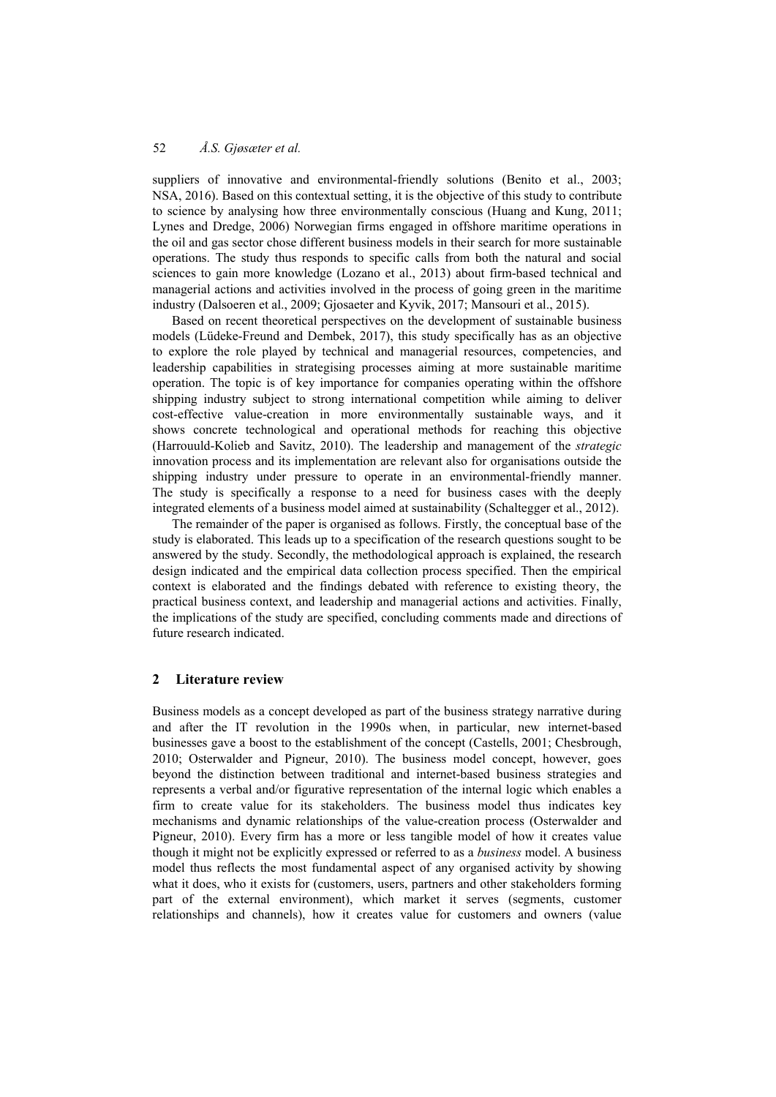suppliers of innovative and environmental-friendly solutions (Benito et al., 2003; NSA, 2016). Based on this contextual setting, it is the objective of this study to contribute to science by analysing how three environmentally conscious (Huang and Kung, 2011; Lynes and Dredge, 2006) Norwegian firms engaged in offshore maritime operations in the oil and gas sector chose different business models in their search for more sustainable operations. The study thus responds to specific calls from both the natural and social sciences to gain more knowledge (Lozano et al., 2013) about firm-based technical and managerial actions and activities involved in the process of going green in the maritime industry (Dalsoeren et al., 2009; Gjosaeter and Kyvik, 2017; Mansouri et al., 2015).

Based on recent theoretical perspectives on the development of sustainable business models (Lüdeke-Freund and Dembek, 2017), this study specifically has as an objective to explore the role played by technical and managerial resources, competencies, and leadership capabilities in strategising processes aiming at more sustainable maritime operation. The topic is of key importance for companies operating within the offshore shipping industry subject to strong international competition while aiming to deliver cost-effective value-creation in more environmentally sustainable ways, and it shows concrete technological and operational methods for reaching this objective (Harrouuld-Kolieb and Savitz, 2010). The leadership and management of the *strategic* innovation process and its implementation are relevant also for organisations outside the shipping industry under pressure to operate in an environmental-friendly manner. The study is specifically a response to a need for business cases with the deeply integrated elements of a business model aimed at sustainability (Schaltegger et al., 2012).

The remainder of the paper is organised as follows. Firstly, the conceptual base of the study is elaborated. This leads up to a specification of the research questions sought to be answered by the study. Secondly, the methodological approach is explained, the research design indicated and the empirical data collection process specified. Then the empirical context is elaborated and the findings debated with reference to existing theory, the practical business context, and leadership and managerial actions and activities. Finally, the implications of the study are specified, concluding comments made and directions of future research indicated.

## **2 Literature review**

Business models as a concept developed as part of the business strategy narrative during and after the IT revolution in the 1990s when, in particular, new internet-based businesses gave a boost to the establishment of the concept (Castells, 2001; Chesbrough, 2010; Osterwalder and Pigneur, 2010). The business model concept, however, goes beyond the distinction between traditional and internet-based business strategies and represents a verbal and/or figurative representation of the internal logic which enables a firm to create value for its stakeholders. The business model thus indicates key mechanisms and dynamic relationships of the value-creation process (Osterwalder and Pigneur, 2010). Every firm has a more or less tangible model of how it creates value though it might not be explicitly expressed or referred to as a *business* model. A business model thus reflects the most fundamental aspect of any organised activity by showing what it does, who it exists for (customers, users, partners and other stakeholders forming part of the external environment), which market it serves (segments, customer relationships and channels), how it creates value for customers and owners (value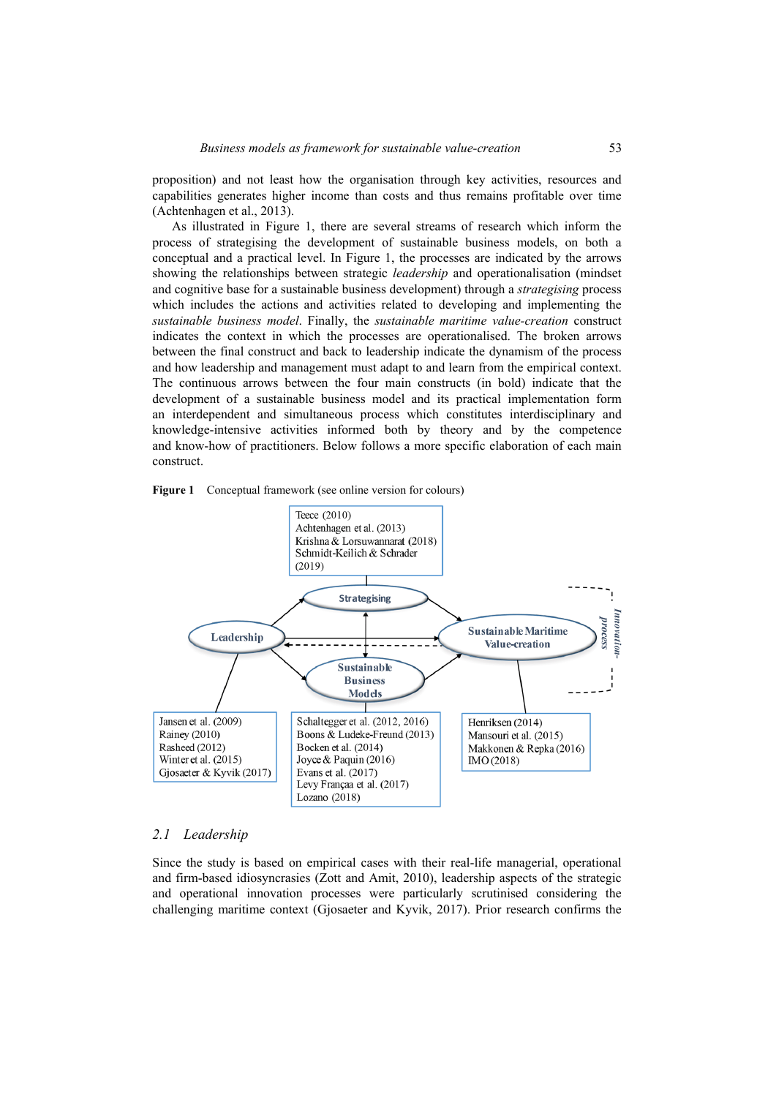proposition) and not least how the organisation through key activities, resources and capabilities generates higher income than costs and thus remains profitable over time (Achtenhagen et al., 2013).

As illustrated in Figure 1, there are several streams of research which inform the process of strategising the development of sustainable business models, on both a conceptual and a practical level. In Figure 1, the processes are indicated by the arrows showing the relationships between strategic *leadership* and operationalisation (mindset and cognitive base for a sustainable business development) through a *strategising* process which includes the actions and activities related to developing and implementing the *sustainable business model*. Finally, the *sustainable maritime value-creation* construct indicates the context in which the processes are operationalised. The broken arrows between the final construct and back to leadership indicate the dynamism of the process and how leadership and management must adapt to and learn from the empirical context. The continuous arrows between the four main constructs (in bold) indicate that the development of a sustainable business model and its practical implementation form an interdependent and simultaneous process which constitutes interdisciplinary and knowledge-intensive activities informed both by theory and by the competence and know-how of practitioners. Below follows a more specific elaboration of each main construct.





#### *2.1 Leadership*

Since the study is based on empirical cases with their real-life managerial, operational and firm-based idiosyncrasies (Zott and Amit, 2010), leadership aspects of the strategic and operational innovation processes were particularly scrutinised considering the challenging maritime context (Gjosaeter and Kyvik, 2017). Prior research confirms the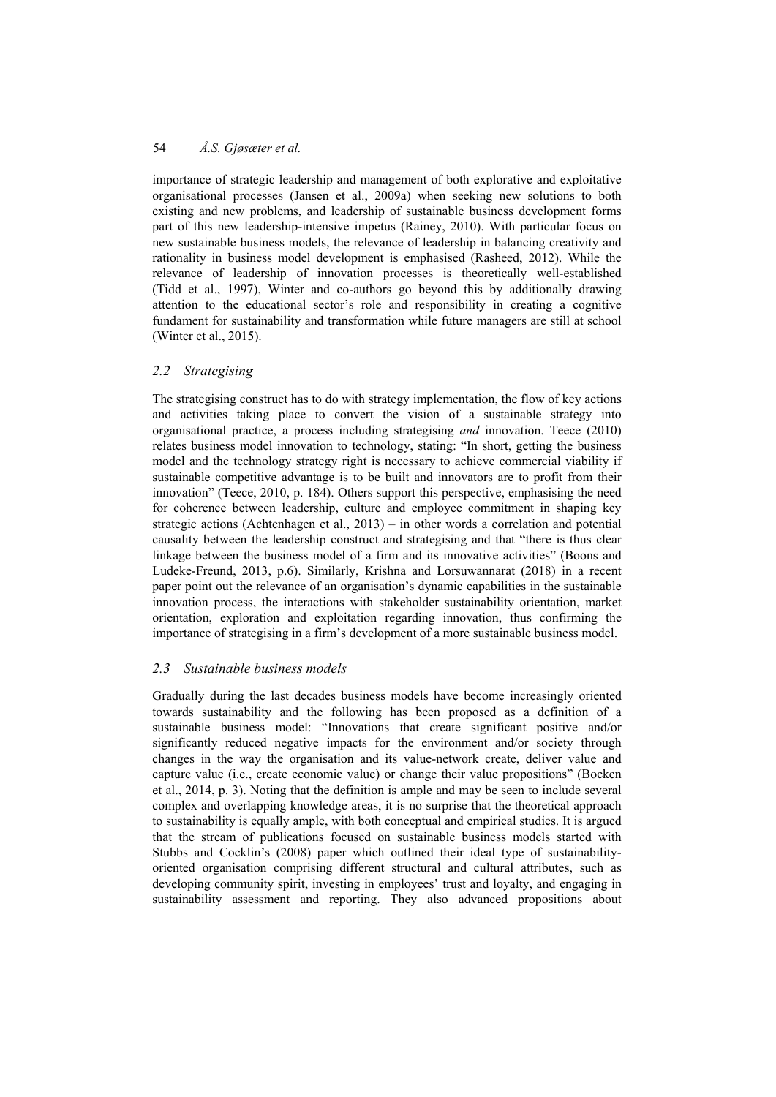importance of strategic leadership and management of both explorative and exploitative organisational processes (Jansen et al., 2009a) when seeking new solutions to both existing and new problems, and leadership of sustainable business development forms part of this new leadership-intensive impetus (Rainey, 2010). With particular focus on new sustainable business models, the relevance of leadership in balancing creativity and rationality in business model development is emphasised (Rasheed, 2012). While the relevance of leadership of innovation processes is theoretically well-established (Tidd et al., 1997), Winter and co-authors go beyond this by additionally drawing attention to the educational sector's role and responsibility in creating a cognitive fundament for sustainability and transformation while future managers are still at school (Winter et al., 2015).

# *2.2 Strategising*

The strategising construct has to do with strategy implementation, the flow of key actions and activities taking place to convert the vision of a sustainable strategy into organisational practice, a process including strategising *and* innovation. Teece (2010) relates business model innovation to technology, stating: "In short, getting the business model and the technology strategy right is necessary to achieve commercial viability if sustainable competitive advantage is to be built and innovators are to profit from their innovation" (Teece, 2010, p. 184). Others support this perspective, emphasising the need for coherence between leadership, culture and employee commitment in shaping key strategic actions (Achtenhagen et al., 2013) – in other words a correlation and potential causality between the leadership construct and strategising and that "there is thus clear linkage between the business model of a firm and its innovative activities" (Boons and Ludeke-Freund, 2013, p.6). Similarly, Krishna and Lorsuwannarat (2018) in a recent paper point out the relevance of an organisation's dynamic capabilities in the sustainable innovation process, the interactions with stakeholder sustainability orientation, market orientation, exploration and exploitation regarding innovation, thus confirming the importance of strategising in a firm's development of a more sustainable business model.

# *2.3 Sustainable business models*

Gradually during the last decades business models have become increasingly oriented towards sustainability and the following has been proposed as a definition of a sustainable business model: "Innovations that create significant positive and/or significantly reduced negative impacts for the environment and/or society through changes in the way the organisation and its value-network create, deliver value and capture value (i.e., create economic value) or change their value propositions" (Bocken et al., 2014, p. 3). Noting that the definition is ample and may be seen to include several complex and overlapping knowledge areas, it is no surprise that the theoretical approach to sustainability is equally ample, with both conceptual and empirical studies. It is argued that the stream of publications focused on sustainable business models started with Stubbs and Cocklin's (2008) paper which outlined their ideal type of sustainabilityoriented organisation comprising different structural and cultural attributes, such as developing community spirit, investing in employees' trust and loyalty, and engaging in sustainability assessment and reporting. They also advanced propositions about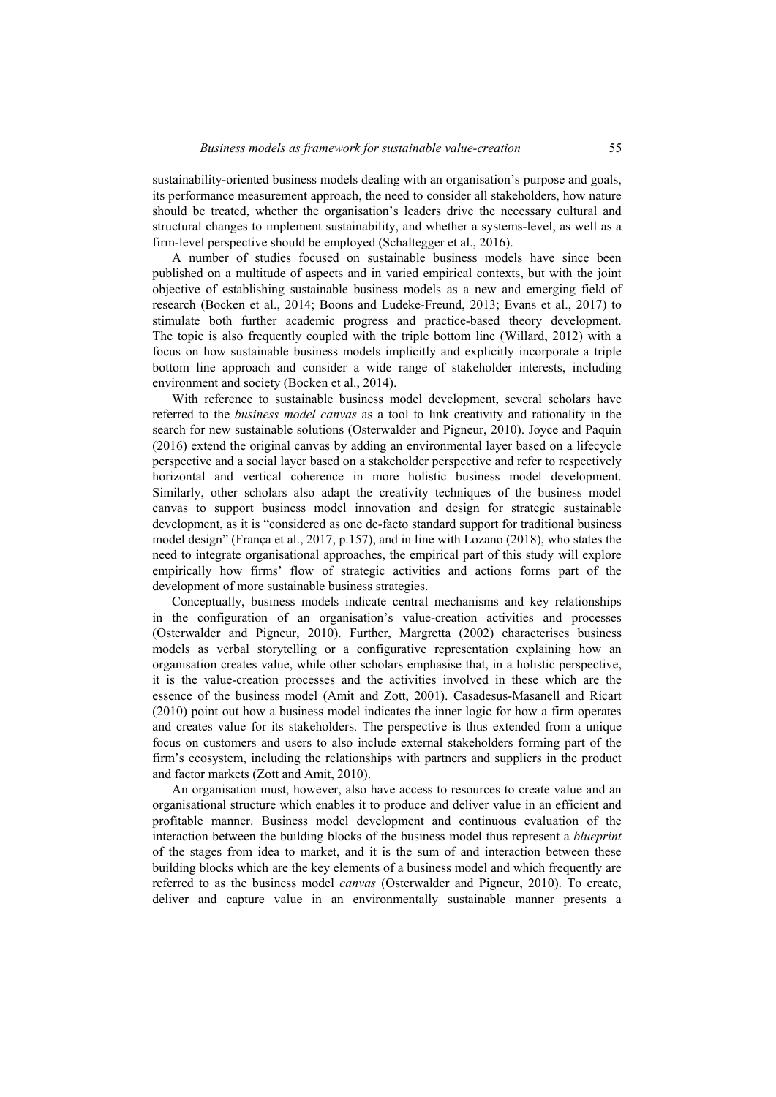sustainability-oriented business models dealing with an organisation's purpose and goals, its performance measurement approach, the need to consider all stakeholders, how nature should be treated, whether the organisation's leaders drive the necessary cultural and structural changes to implement sustainability, and whether a systems-level, as well as a firm-level perspective should be employed (Schaltegger et al., 2016).

A number of studies focused on sustainable business models have since been published on a multitude of aspects and in varied empirical contexts, but with the joint objective of establishing sustainable business models as a new and emerging field of research (Bocken et al., 2014; Boons and Ludeke-Freund, 2013; Evans et al., 2017) to stimulate both further academic progress and practice-based theory development. The topic is also frequently coupled with the triple bottom line (Willard, 2012) with a focus on how sustainable business models implicitly and explicitly incorporate a triple bottom line approach and consider a wide range of stakeholder interests, including environment and society (Bocken et al., 2014).

With reference to sustainable business model development, several scholars have referred to the *business model canvas* as a tool to link creativity and rationality in the search for new sustainable solutions (Osterwalder and Pigneur, 2010). Joyce and Paquin (2016) extend the original canvas by adding an environmental layer based on a lifecycle perspective and a social layer based on a stakeholder perspective and refer to respectively horizontal and vertical coherence in more holistic business model development. Similarly, other scholars also adapt the creativity techniques of the business model canvas to support business model innovation and design for strategic sustainable development, as it is "considered as one de-facto standard support for traditional business model design" (França et al., 2017, p.157), and in line with Lozano (2018), who states the need to integrate organisational approaches, the empirical part of this study will explore empirically how firms' flow of strategic activities and actions forms part of the development of more sustainable business strategies.

Conceptually, business models indicate central mechanisms and key relationships in the configuration of an organisation's value-creation activities and processes (Osterwalder and Pigneur, 2010). Further, Margretta (2002) characterises business models as verbal storytelling or a configurative representation explaining how an organisation creates value, while other scholars emphasise that, in a holistic perspective, it is the value-creation processes and the activities involved in these which are the essence of the business model (Amit and Zott, 2001). Casadesus-Masanell and Ricart (2010) point out how a business model indicates the inner logic for how a firm operates and creates value for its stakeholders. The perspective is thus extended from a unique focus on customers and users to also include external stakeholders forming part of the firm's ecosystem, including the relationships with partners and suppliers in the product and factor markets (Zott and Amit, 2010).

An organisation must, however, also have access to resources to create value and an organisational structure which enables it to produce and deliver value in an efficient and profitable manner. Business model development and continuous evaluation of the interaction between the building blocks of the business model thus represent a *blueprint* of the stages from idea to market, and it is the sum of and interaction between these building blocks which are the key elements of a business model and which frequently are referred to as the business model *canvas* (Osterwalder and Pigneur, 2010). To create, deliver and capture value in an environmentally sustainable manner presents a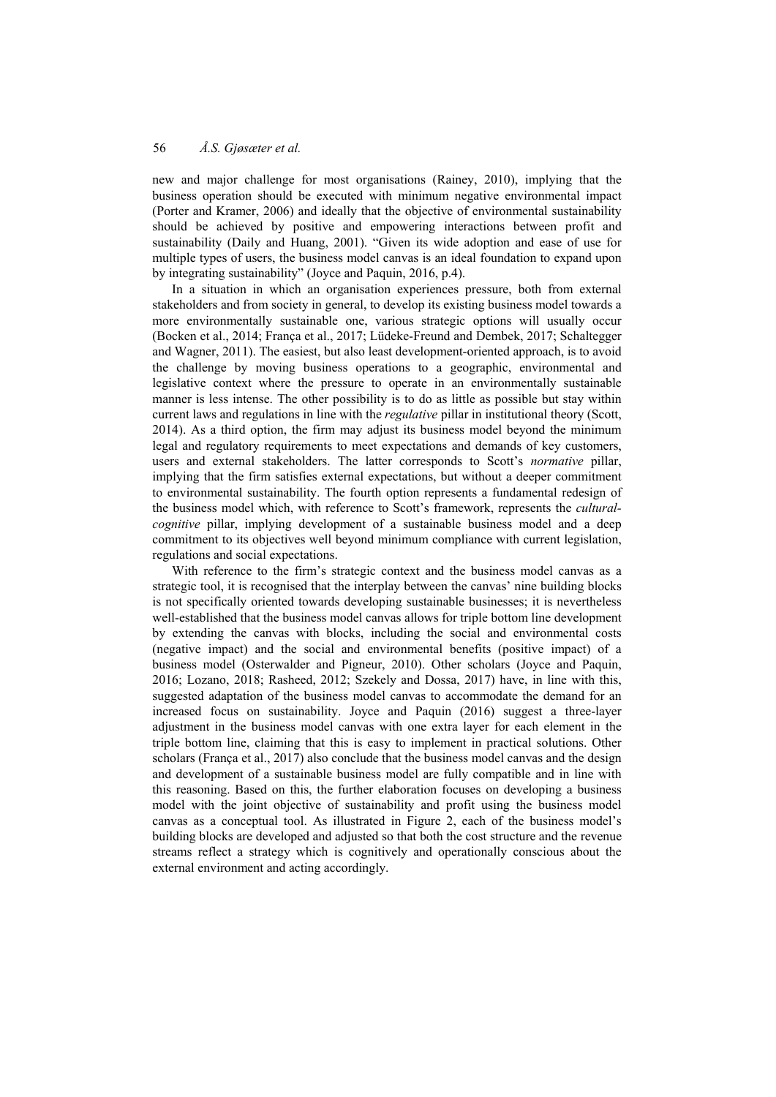new and major challenge for most organisations (Rainey, 2010), implying that the business operation should be executed with minimum negative environmental impact (Porter and Kramer, 2006) and ideally that the objective of environmental sustainability should be achieved by positive and empowering interactions between profit and sustainability (Daily and Huang, 2001). "Given its wide adoption and ease of use for multiple types of users, the business model canvas is an ideal foundation to expand upon by integrating sustainability" (Joyce and Paquin, 2016, p.4).

In a situation in which an organisation experiences pressure, both from external stakeholders and from society in general, to develop its existing business model towards a more environmentally sustainable one, various strategic options will usually occur (Bocken et al., 2014; França et al., 2017; Lüdeke-Freund and Dembek, 2017; Schaltegger and Wagner, 2011). The easiest, but also least development-oriented approach, is to avoid the challenge by moving business operations to a geographic, environmental and legislative context where the pressure to operate in an environmentally sustainable manner is less intense. The other possibility is to do as little as possible but stay within current laws and regulations in line with the *regulative* pillar in institutional theory (Scott, 2014). As a third option, the firm may adjust its business model beyond the minimum legal and regulatory requirements to meet expectations and demands of key customers, users and external stakeholders. The latter corresponds to Scott's *normative* pillar, implying that the firm satisfies external expectations, but without a deeper commitment to environmental sustainability. The fourth option represents a fundamental redesign of the business model which, with reference to Scott's framework, represents the *culturalcognitive* pillar, implying development of a sustainable business model and a deep commitment to its objectives well beyond minimum compliance with current legislation, regulations and social expectations.

With reference to the firm's strategic context and the business model canvas as a strategic tool, it is recognised that the interplay between the canvas' nine building blocks is not specifically oriented towards developing sustainable businesses; it is nevertheless well-established that the business model canvas allows for triple bottom line development by extending the canvas with blocks, including the social and environmental costs (negative impact) and the social and environmental benefits (positive impact) of a business model (Osterwalder and Pigneur, 2010). Other scholars (Joyce and Paquin, 2016; Lozano, 2018; Rasheed, 2012; Szekely and Dossa, 2017) have, in line with this, suggested adaptation of the business model canvas to accommodate the demand for an increased focus on sustainability. Joyce and Paquin (2016) suggest a three-layer adjustment in the business model canvas with one extra layer for each element in the triple bottom line, claiming that this is easy to implement in practical solutions. Other scholars (França et al., 2017) also conclude that the business model canvas and the design and development of a sustainable business model are fully compatible and in line with this reasoning. Based on this, the further elaboration focuses on developing a business model with the joint objective of sustainability and profit using the business model canvas as a conceptual tool. As illustrated in Figure 2, each of the business model's building blocks are developed and adjusted so that both the cost structure and the revenue streams reflect a strategy which is cognitively and operationally conscious about the external environment and acting accordingly.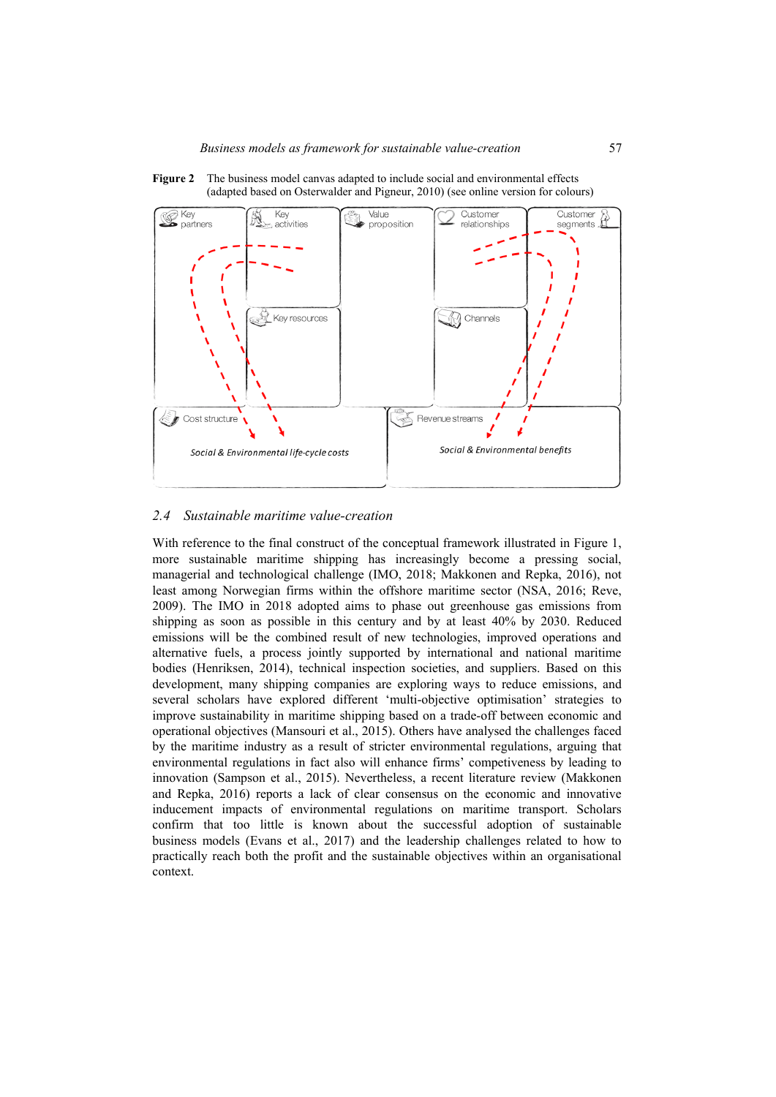**Figure 2** The business model canvas adapted to include social and environmental effects (adapted based on Osterwalder and Pigneur, 2010) (see online version for colours)



#### *2.4 Sustainable maritime value-creation*

With reference to the final construct of the conceptual framework illustrated in Figure 1, more sustainable maritime shipping has increasingly become a pressing social, managerial and technological challenge (IMO, 2018; Makkonen and Repka, 2016), not least among Norwegian firms within the offshore maritime sector (NSA, 2016; Reve, 2009). The IMO in 2018 adopted aims to phase out greenhouse gas emissions from shipping as soon as possible in this century and by at least 40% by 2030. Reduced emissions will be the combined result of new technologies, improved operations and alternative fuels, a process jointly supported by international and national maritime bodies (Henriksen, 2014), technical inspection societies, and suppliers. Based on this development, many shipping companies are exploring ways to reduce emissions, and several scholars have explored different 'multi-objective optimisation' strategies to improve sustainability in maritime shipping based on a trade-off between economic and operational objectives (Mansouri et al., 2015). Others have analysed the challenges faced by the maritime industry as a result of stricter environmental regulations, arguing that environmental regulations in fact also will enhance firms' competiveness by leading to innovation (Sampson et al., 2015). Nevertheless, a recent literature review (Makkonen and Repka, 2016) reports a lack of clear consensus on the economic and innovative inducement impacts of environmental regulations on maritime transport. Scholars confirm that too little is known about the successful adoption of sustainable business models (Evans et al., 2017) and the leadership challenges related to how to practically reach both the profit and the sustainable objectives within an organisational context.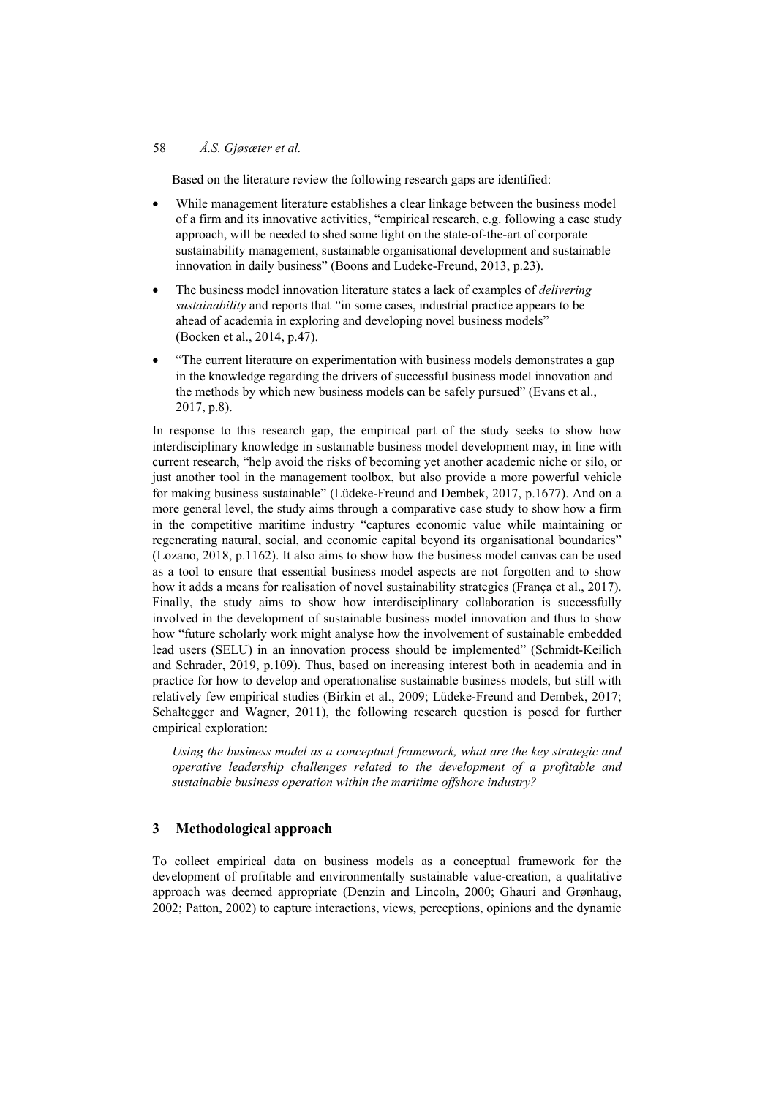Based on the literature review the following research gaps are identified:

- While management literature establishes a clear linkage between the business model of a firm and its innovative activities, "empirical research, e.g. following a case study approach, will be needed to shed some light on the state-of-the-art of corporate sustainability management, sustainable organisational development and sustainable innovation in daily business" (Boons and Ludeke-Freund, 2013, p.23).
- The business model innovation literature states a lack of examples of *delivering sustainability* and reports that *"*in some cases, industrial practice appears to be ahead of academia in exploring and developing novel business models" (Bocken et al., 2014, p.47).
- "The current literature on experimentation with business models demonstrates a gap in the knowledge regarding the drivers of successful business model innovation and the methods by which new business models can be safely pursued" (Evans et al., 2017, p.8).

In response to this research gap, the empirical part of the study seeks to show how interdisciplinary knowledge in sustainable business model development may, in line with current research, "help avoid the risks of becoming yet another academic niche or silo, or just another tool in the management toolbox, but also provide a more powerful vehicle for making business sustainable" (Lüdeke-Freund and Dembek, 2017, p.1677). And on a more general level, the study aims through a comparative case study to show how a firm in the competitive maritime industry "captures economic value while maintaining or regenerating natural, social, and economic capital beyond its organisational boundaries" (Lozano, 2018, p.1162). It also aims to show how the business model canvas can be used as a tool to ensure that essential business model aspects are not forgotten and to show how it adds a means for realisation of novel sustainability strategies (Franca et al., 2017). Finally, the study aims to show how interdisciplinary collaboration is successfully involved in the development of sustainable business model innovation and thus to show how "future scholarly work might analyse how the involvement of sustainable embedded lead users (SELU) in an innovation process should be implemented" (Schmidt-Keilich and Schrader, 2019, p.109). Thus, based on increasing interest both in academia and in practice for how to develop and operationalise sustainable business models, but still with relatively few empirical studies (Birkin et al., 2009; Lüdeke-Freund and Dembek, 2017; Schaltegger and Wagner, 2011), the following research question is posed for further empirical exploration:

*Using the business model as a conceptual framework, what are the key strategic and operative leadership challenges related to the development of a profitable and sustainable business operation within the maritime offshore industry?* 

# **3 Methodological approach**

To collect empirical data on business models as a conceptual framework for the development of profitable and environmentally sustainable value-creation, a qualitative approach was deemed appropriate (Denzin and Lincoln, 2000; Ghauri and Grønhaug, 2002; Patton, 2002) to capture interactions, views, perceptions, opinions and the dynamic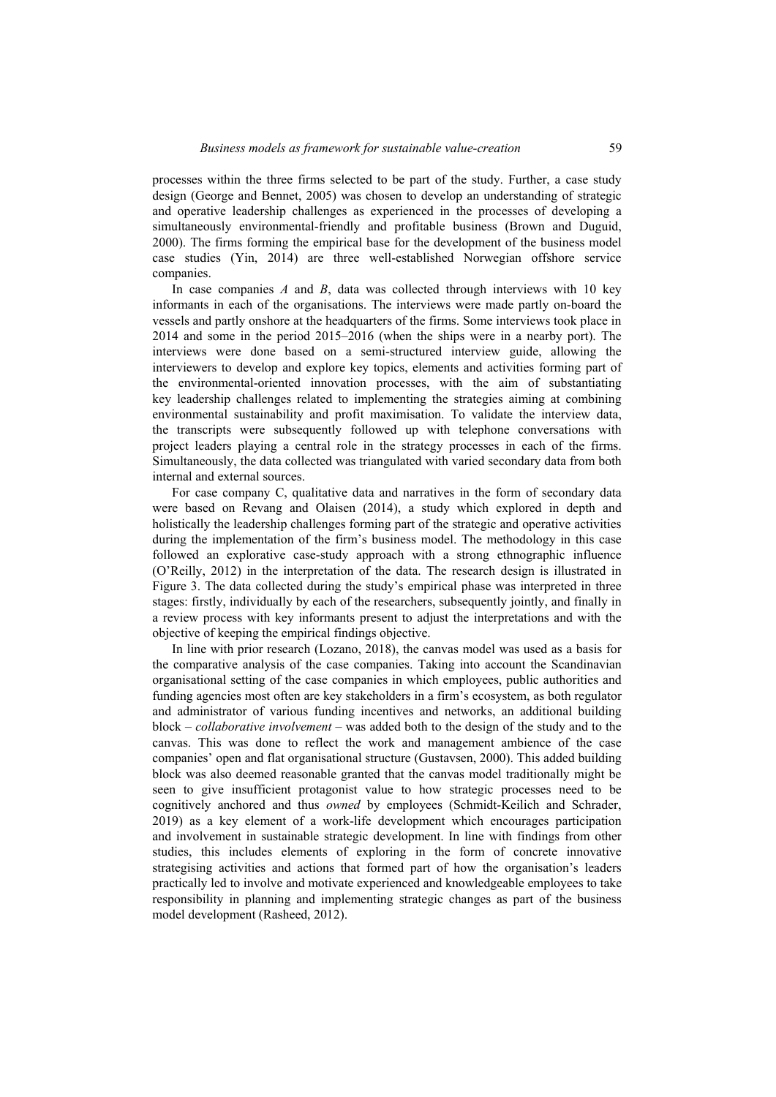processes within the three firms selected to be part of the study. Further, a case study design (George and Bennet, 2005) was chosen to develop an understanding of strategic and operative leadership challenges as experienced in the processes of developing a simultaneously environmental-friendly and profitable business (Brown and Duguid, 2000). The firms forming the empirical base for the development of the business model case studies (Yin, 2014) are three well-established Norwegian offshore service companies.

In case companies *A* and *B*, data was collected through interviews with 10 key informants in each of the organisations. The interviews were made partly on-board the vessels and partly onshore at the headquarters of the firms. Some interviews took place in 2014 and some in the period 2015–2016 (when the ships were in a nearby port). The interviews were done based on a semi-structured interview guide, allowing the interviewers to develop and explore key topics, elements and activities forming part of the environmental-oriented innovation processes, with the aim of substantiating key leadership challenges related to implementing the strategies aiming at combining environmental sustainability and profit maximisation. To validate the interview data, the transcripts were subsequently followed up with telephone conversations with project leaders playing a central role in the strategy processes in each of the firms. Simultaneously, the data collected was triangulated with varied secondary data from both internal and external sources.

For case company C, qualitative data and narratives in the form of secondary data were based on Revang and Olaisen (2014), a study which explored in depth and holistically the leadership challenges forming part of the strategic and operative activities during the implementation of the firm's business model. The methodology in this case followed an explorative case-study approach with a strong ethnographic influence (O'Reilly, 2012) in the interpretation of the data. The research design is illustrated in Figure 3. The data collected during the study's empirical phase was interpreted in three stages: firstly, individually by each of the researchers, subsequently jointly, and finally in a review process with key informants present to adjust the interpretations and with the objective of keeping the empirical findings objective.

In line with prior research (Lozano, 2018), the canvas model was used as a basis for the comparative analysis of the case companies. Taking into account the Scandinavian organisational setting of the case companies in which employees, public authorities and funding agencies most often are key stakeholders in a firm's ecosystem, as both regulator and administrator of various funding incentives and networks, an additional building block – *collaborative involvement* – was added both to the design of the study and to the canvas. This was done to reflect the work and management ambience of the case companies' open and flat organisational structure (Gustavsen, 2000). This added building block was also deemed reasonable granted that the canvas model traditionally might be seen to give insufficient protagonist value to how strategic processes need to be cognitively anchored and thus *owned* by employees (Schmidt-Keilich and Schrader, 2019) as a key element of a work-life development which encourages participation and involvement in sustainable strategic development. In line with findings from other studies, this includes elements of exploring in the form of concrete innovative strategising activities and actions that formed part of how the organisation's leaders practically led to involve and motivate experienced and knowledgeable employees to take responsibility in planning and implementing strategic changes as part of the business model development (Rasheed, 2012).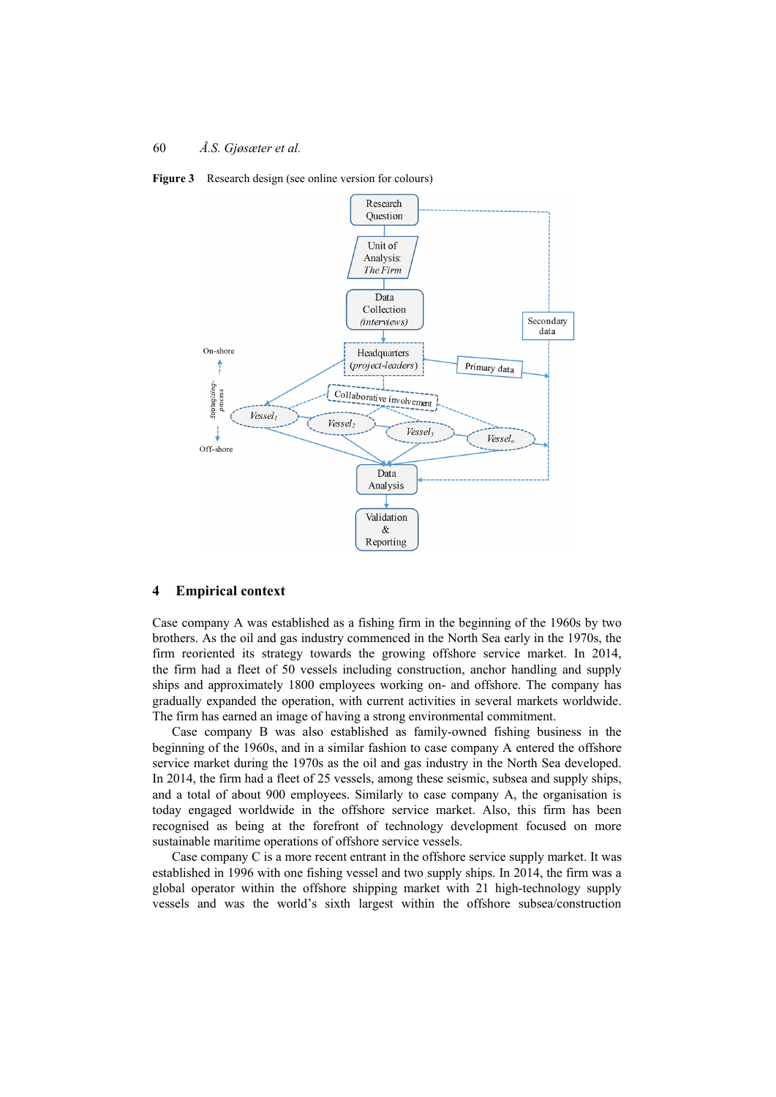



#### **4 Empirical context**

Case company A was established as a fishing firm in the beginning of the 1960s by two brothers. As the oil and gas industry commenced in the North Sea early in the 1970s, the firm reoriented its strategy towards the growing offshore service market. In 2014, the firm had a fleet of 50 vessels including construction, anchor handling and supply ships and approximately 1800 employees working on- and offshore. The company has gradually expanded the operation, with current activities in several markets worldwide. The firm has earned an image of having a strong environmental commitment.

Case company B was also established as family-owned fishing business in the beginning of the 1960s, and in a similar fashion to case company A entered the offshore service market during the 1970s as the oil and gas industry in the North Sea developed. In 2014, the firm had a fleet of 25 vessels, among these seismic, subsea and supply ships, and a total of about 900 employees. Similarly to case company A, the organisation is today engaged worldwide in the offshore service market. Also, this firm has been recognised as being at the forefront of technology development focused on more sustainable maritime operations of offshore service vessels.

Case company C is a more recent entrant in the offshore service supply market. It was established in 1996 with one fishing vessel and two supply ships. In 2014, the firm was a global operator within the offshore shipping market with 21 high-technology supply vessels and was the world's sixth largest within the offshore subsea/construction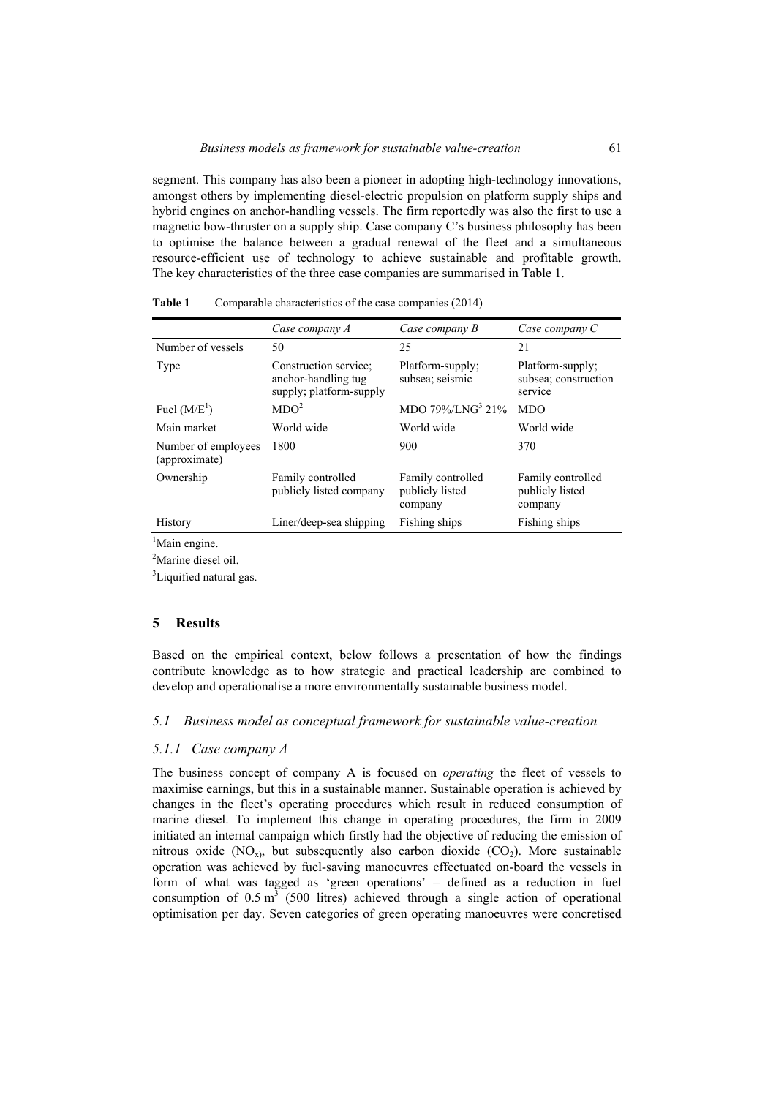segment. This company has also been a pioneer in adopting high-technology innovations, amongst others by implementing diesel-electric propulsion on platform supply ships and hybrid engines on anchor-handling vessels. The firm reportedly was also the first to use a magnetic bow-thruster on a supply ship. Case company C's business philosophy has been to optimise the balance between a gradual renewal of the fleet and a simultaneous resource-efficient use of technology to achieve sustainable and profitable growth. The key characteristics of the three case companies are summarised in Table 1.

|                                      | Case company A                                                          | Case company B                                  | Case company C                                      |
|--------------------------------------|-------------------------------------------------------------------------|-------------------------------------------------|-----------------------------------------------------|
| Number of vessels                    | 50                                                                      | 25                                              | 21                                                  |
| Type                                 | Construction service:<br>anchor-handling tug<br>supply; platform-supply | Platform-supply;<br>subsea; seismic             | Platform-supply;<br>subsea; construction<br>service |
| Fuel $(M/E1)$                        | MDO <sup>2</sup>                                                        | MDO 79%/LNG <sup>3</sup> 21%                    | <b>MDO</b>                                          |
| Main market                          | World wide                                                              | World wide                                      | World wide                                          |
| Number of employees<br>(approximate) | 1800                                                                    | 900                                             | 370                                                 |
| Ownership                            | Family controlled<br>publicly listed company                            | Family controlled<br>publicly listed<br>company | Family controlled<br>publicly listed<br>company     |
| History                              | Liner/deep-sea shipping                                                 | Fishing ships                                   | Fishing ships                                       |

| Table 1 | Comparable characteristics of the case companies (2014) |  |
|---------|---------------------------------------------------------|--|
|---------|---------------------------------------------------------|--|

<sup>1</sup>Main engine.

<sup>2</sup>Marine diesel oil.

<sup>3</sup>Liquified natural gas.

## **5 Results**

Based on the empirical context, below follows a presentation of how the findings contribute knowledge as to how strategic and practical leadership are combined to develop and operationalise a more environmentally sustainable business model.

## *5.1 Business model as conceptual framework for sustainable value-creation*

#### *5.1.1 Case company A*

The business concept of company A is focused on *operating* the fleet of vessels to maximise earnings, but this in a sustainable manner. Sustainable operation is achieved by changes in the fleet's operating procedures which result in reduced consumption of marine diesel. To implement this change in operating procedures, the firm in 2009 initiated an internal campaign which firstly had the objective of reducing the emission of nitrous oxide  $(NO<sub>x</sub>)$ , but subsequently also carbon dioxide  $(CO<sub>2</sub>)$ . More sustainable operation was achieved by fuel-saving manoeuvres effectuated on-board the vessels in form of what was tagged as 'green operations' – defined as a reduction in fuel consumption of  $0.5 \text{ m}^3$  (500 litres) achieved through a single action of operational optimisation per day. Seven categories of green operating manoeuvres were concretised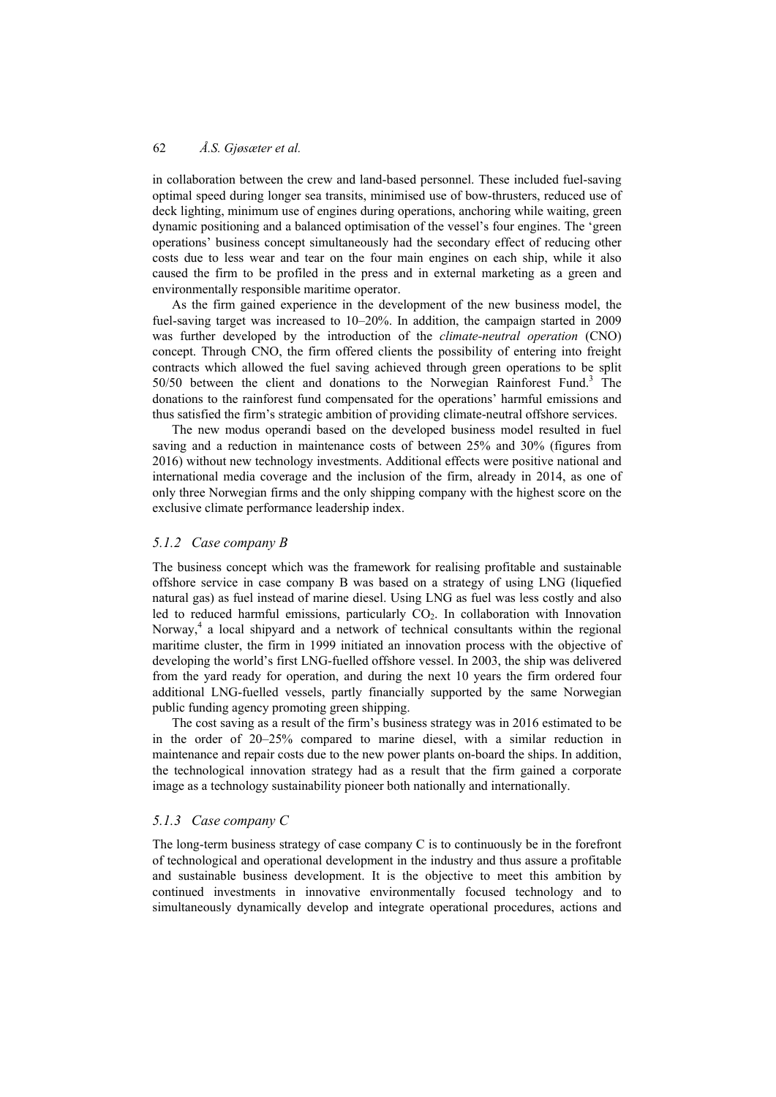in collaboration between the crew and land-based personnel. These included fuel-saving optimal speed during longer sea transits, minimised use of bow-thrusters, reduced use of deck lighting, minimum use of engines during operations, anchoring while waiting, green dynamic positioning and a balanced optimisation of the vessel's four engines. The 'green operations' business concept simultaneously had the secondary effect of reducing other costs due to less wear and tear on the four main engines on each ship, while it also caused the firm to be profiled in the press and in external marketing as a green and environmentally responsible maritime operator.

As the firm gained experience in the development of the new business model, the fuel-saving target was increased to 10–20%. In addition, the campaign started in 2009 was further developed by the introduction of the *climate-neutral operation* (CNO) concept. Through CNO, the firm offered clients the possibility of entering into freight contracts which allowed the fuel saving achieved through green operations to be split  $50/50$  between the client and donations to the Norwegian Rainforest Fund.<sup>3</sup> The donations to the rainforest fund compensated for the operations' harmful emissions and thus satisfied the firm's strategic ambition of providing climate-neutral offshore services.

The new modus operandi based on the developed business model resulted in fuel saving and a reduction in maintenance costs of between 25% and 30% (figures from 2016) without new technology investments. Additional effects were positive national and international media coverage and the inclusion of the firm, already in 2014, as one of only three Norwegian firms and the only shipping company with the highest score on the exclusive climate performance leadership index.

# *5.1.2 Case company B*

The business concept which was the framework for realising profitable and sustainable offshore service in case company B was based on a strategy of using LNG (liquefied natural gas) as fuel instead of marine diesel. Using LNG as fuel was less costly and also led to reduced harmful emissions, particularly  $CO<sub>2</sub>$ . In collaboration with Innovation Norway,<sup>4</sup> a local shipyard and a network of technical consultants within the regional maritime cluster, the firm in 1999 initiated an innovation process with the objective of developing the world's first LNG-fuelled offshore vessel. In 2003, the ship was delivered from the yard ready for operation, and during the next 10 years the firm ordered four additional LNG-fuelled vessels, partly financially supported by the same Norwegian public funding agency promoting green shipping.

The cost saving as a result of the firm's business strategy was in 2016 estimated to be in the order of 20–25% compared to marine diesel, with a similar reduction in maintenance and repair costs due to the new power plants on-board the ships. In addition, the technological innovation strategy had as a result that the firm gained a corporate image as a technology sustainability pioneer both nationally and internationally.

## *5.1.3 Case company C*

The long-term business strategy of case company  $C$  is to continuously be in the forefront of technological and operational development in the industry and thus assure a profitable and sustainable business development. It is the objective to meet this ambition by continued investments in innovative environmentally focused technology and to simultaneously dynamically develop and integrate operational procedures, actions and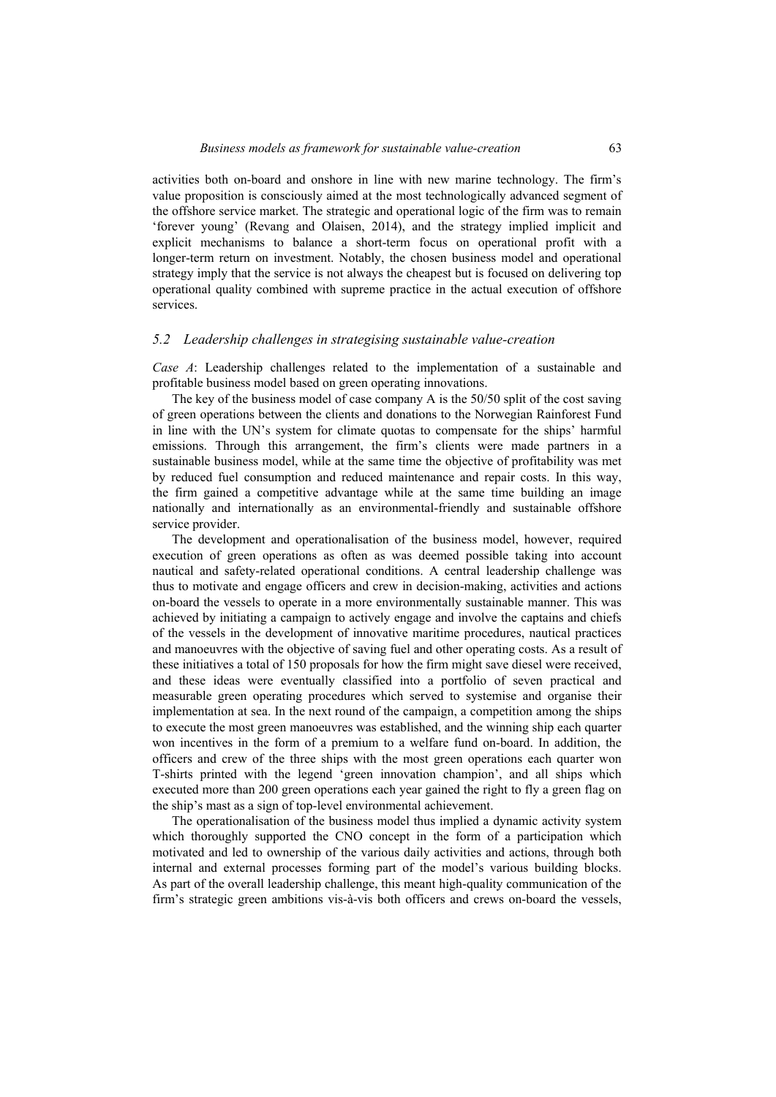activities both on-board and onshore in line with new marine technology. The firm's value proposition is consciously aimed at the most technologically advanced segment of the offshore service market. The strategic and operational logic of the firm was to remain 'forever young' (Revang and Olaisen, 2014), and the strategy implied implicit and explicit mechanisms to balance a short-term focus on operational profit with a longer-term return on investment. Notably, the chosen business model and operational strategy imply that the service is not always the cheapest but is focused on delivering top operational quality combined with supreme practice in the actual execution of offshore services.

#### *5.2 Leadership challenges in strategising sustainable value-creation*

*Case A*: Leadership challenges related to the implementation of a sustainable and profitable business model based on green operating innovations.

The key of the business model of case company A is the 50/50 split of the cost saving of green operations between the clients and donations to the Norwegian Rainforest Fund in line with the UN's system for climate quotas to compensate for the ships' harmful emissions. Through this arrangement, the firm's clients were made partners in a sustainable business model, while at the same time the objective of profitability was met by reduced fuel consumption and reduced maintenance and repair costs. In this way, the firm gained a competitive advantage while at the same time building an image nationally and internationally as an environmental-friendly and sustainable offshore service provider.

The development and operationalisation of the business model, however, required execution of green operations as often as was deemed possible taking into account nautical and safety-related operational conditions. A central leadership challenge was thus to motivate and engage officers and crew in decision-making, activities and actions on-board the vessels to operate in a more environmentally sustainable manner. This was achieved by initiating a campaign to actively engage and involve the captains and chiefs of the vessels in the development of innovative maritime procedures, nautical practices and manoeuvres with the objective of saving fuel and other operating costs. As a result of these initiatives a total of 150 proposals for how the firm might save diesel were received, and these ideas were eventually classified into a portfolio of seven practical and measurable green operating procedures which served to systemise and organise their implementation at sea. In the next round of the campaign, a competition among the ships to execute the most green manoeuvres was established, and the winning ship each quarter won incentives in the form of a premium to a welfare fund on-board. In addition, the officers and crew of the three ships with the most green operations each quarter won T-shirts printed with the legend 'green innovation champion', and all ships which executed more than 200 green operations each year gained the right to fly a green flag on the ship's mast as a sign of top-level environmental achievement.

The operationalisation of the business model thus implied a dynamic activity system which thoroughly supported the CNO concept in the form of a participation which motivated and led to ownership of the various daily activities and actions, through both internal and external processes forming part of the model's various building blocks. As part of the overall leadership challenge, this meant high-quality communication of the firm's strategic green ambitions vis-à-vis both officers and crews on-board the vessels,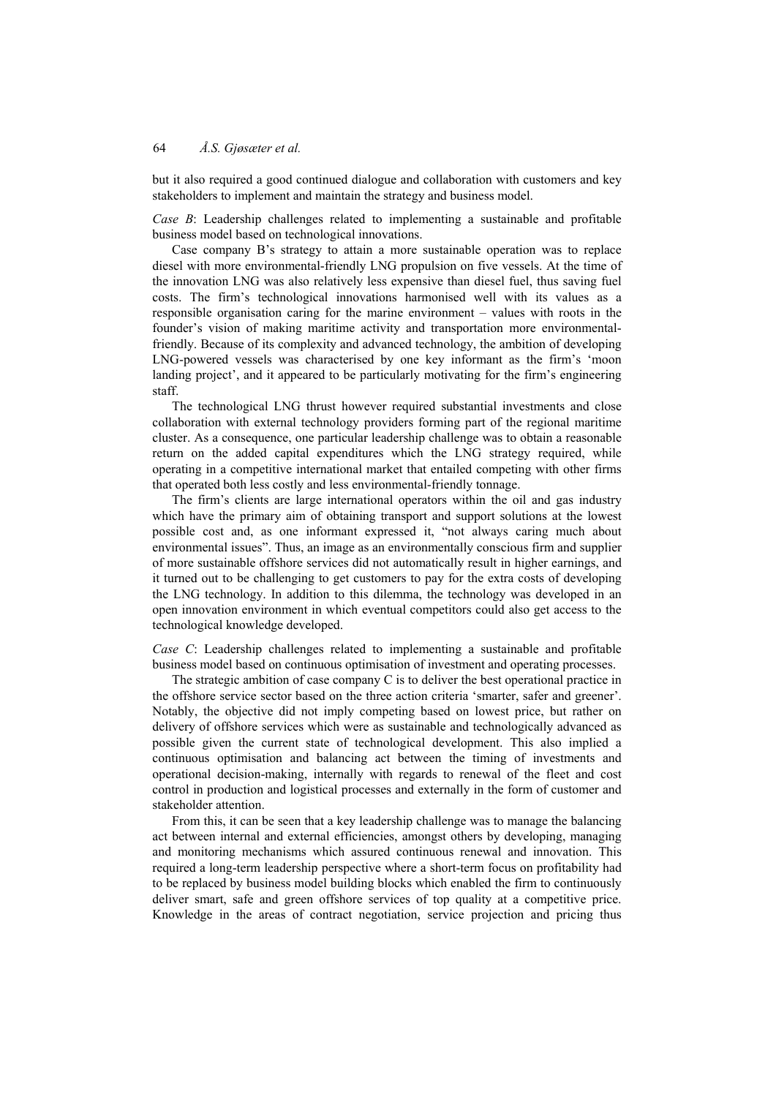but it also required a good continued dialogue and collaboration with customers and key stakeholders to implement and maintain the strategy and business model.

*Case B*: Leadership challenges related to implementing a sustainable and profitable business model based on technological innovations.

Case company B's strategy to attain a more sustainable operation was to replace diesel with more environmental-friendly LNG propulsion on five vessels. At the time of the innovation LNG was also relatively less expensive than diesel fuel, thus saving fuel costs. The firm's technological innovations harmonised well with its values as a responsible organisation caring for the marine environment – values with roots in the founder's vision of making maritime activity and transportation more environmentalfriendly. Because of its complexity and advanced technology, the ambition of developing LNG-powered vessels was characterised by one key informant as the firm's 'moon landing project', and it appeared to be particularly motivating for the firm's engineering staff.

The technological LNG thrust however required substantial investments and close collaboration with external technology providers forming part of the regional maritime cluster. As a consequence, one particular leadership challenge was to obtain a reasonable return on the added capital expenditures which the LNG strategy required, while operating in a competitive international market that entailed competing with other firms that operated both less costly and less environmental-friendly tonnage.

The firm's clients are large international operators within the oil and gas industry which have the primary aim of obtaining transport and support solutions at the lowest possible cost and, as one informant expressed it, "not always caring much about environmental issues". Thus, an image as an environmentally conscious firm and supplier of more sustainable offshore services did not automatically result in higher earnings, and it turned out to be challenging to get customers to pay for the extra costs of developing the LNG technology. In addition to this dilemma, the technology was developed in an open innovation environment in which eventual competitors could also get access to the technological knowledge developed.

*Case C*: Leadership challenges related to implementing a sustainable and profitable business model based on continuous optimisation of investment and operating processes.

The strategic ambition of case company C is to deliver the best operational practice in the offshore service sector based on the three action criteria 'smarter, safer and greener'. Notably, the objective did not imply competing based on lowest price, but rather on delivery of offshore services which were as sustainable and technologically advanced as possible given the current state of technological development. This also implied a continuous optimisation and balancing act between the timing of investments and operational decision-making, internally with regards to renewal of the fleet and cost control in production and logistical processes and externally in the form of customer and stakeholder attention.

From this, it can be seen that a key leadership challenge was to manage the balancing act between internal and external efficiencies, amongst others by developing, managing and monitoring mechanisms which assured continuous renewal and innovation. This required a long-term leadership perspective where a short-term focus on profitability had to be replaced by business model building blocks which enabled the firm to continuously deliver smart, safe and green offshore services of top quality at a competitive price. Knowledge in the areas of contract negotiation, service projection and pricing thus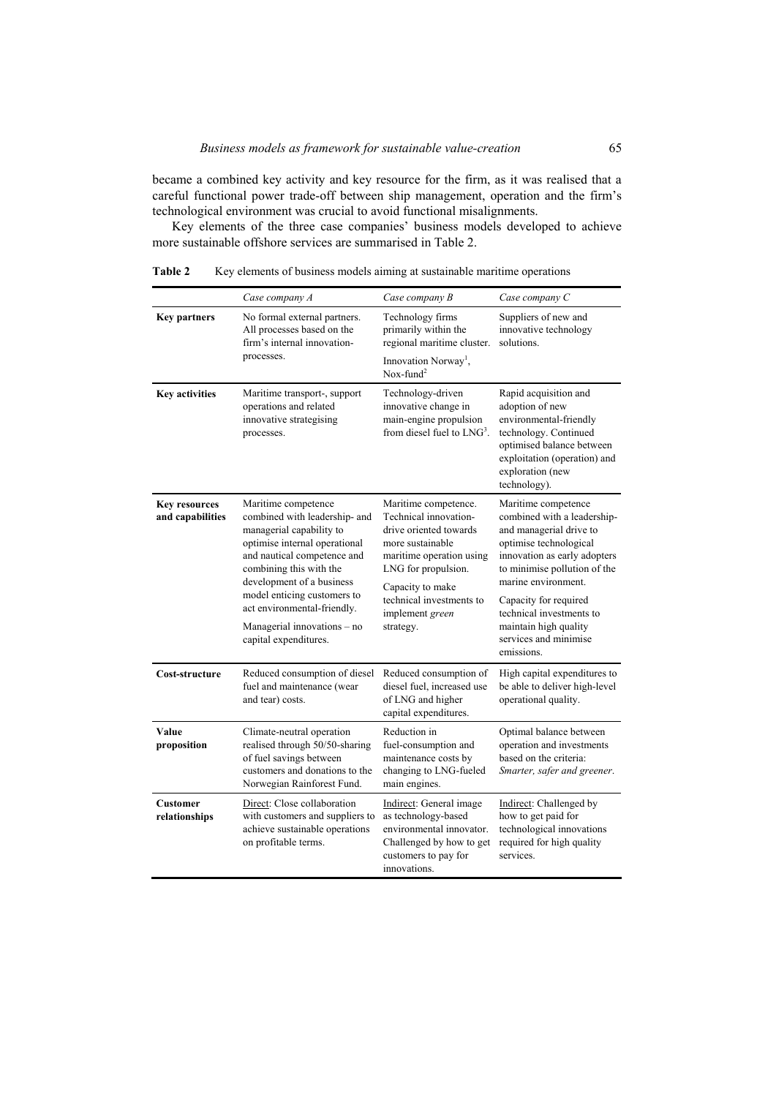became a combined key activity and key resource for the firm, as it was realised that a careful functional power trade-off between ship management, operation and the firm's technological environment was crucial to avoid functional misalignments.

Key elements of the three case companies' business models developed to achieve more sustainable offshore services are summarised in Table 2.

|                                          | Case company A                                                                                                                                                                                                                                                                                                                 | Case company B                                                                                                                                                                                                                 | Case company C                                                                                                                                                                                                                                                                                                      |
|------------------------------------------|--------------------------------------------------------------------------------------------------------------------------------------------------------------------------------------------------------------------------------------------------------------------------------------------------------------------------------|--------------------------------------------------------------------------------------------------------------------------------------------------------------------------------------------------------------------------------|---------------------------------------------------------------------------------------------------------------------------------------------------------------------------------------------------------------------------------------------------------------------------------------------------------------------|
| <b>Key partners</b>                      | No formal external partners.<br>All processes based on the<br>firm's internal innovation-<br>processes.                                                                                                                                                                                                                        | Technology firms<br>primarily within the<br>regional maritime cluster.                                                                                                                                                         | Suppliers of new and<br>innovative technology<br>solutions.                                                                                                                                                                                                                                                         |
|                                          |                                                                                                                                                                                                                                                                                                                                | Innovation Norway <sup>1</sup> ,<br>$Nox$ -fund <sup>2</sup>                                                                                                                                                                   |                                                                                                                                                                                                                                                                                                                     |
| <b>Key activities</b>                    | Maritime transport-, support<br>operations and related<br>innovative strategising<br>processes.                                                                                                                                                                                                                                | Technology-driven<br>innovative change in<br>main-engine propulsion<br>from diesel fuel to $LMG3$ .                                                                                                                            | Rapid acquisition and<br>adoption of new<br>environmental-friendly<br>technology. Continued<br>optimised balance between<br>exploitation (operation) and<br>exploration (new<br>technology).                                                                                                                        |
| <b>Key resources</b><br>and capabilities | Maritime competence<br>combined with leadership- and<br>managerial capability to<br>optimise internal operational<br>and nautical competence and<br>combining this with the<br>development of a business<br>model enticing customers to<br>act environmental-friendly.<br>Managerial innovations - no<br>capital expenditures. | Maritime competence.<br>Technical innovation-<br>drive oriented towards<br>more sustainable<br>maritime operation using<br>LNG for propulsion.<br>Capacity to make<br>technical investments to<br>implement green<br>strategy. | Maritime competence<br>combined with a leadership-<br>and managerial drive to<br>optimise technological<br>innovation as early adopters<br>to minimise pollution of the<br>marine environment.<br>Capacity for required<br>technical investments to<br>maintain high quality<br>services and minimise<br>emissions. |
| Cost-structure                           | Reduced consumption of diesel<br>fuel and maintenance (wear<br>and tear) costs.                                                                                                                                                                                                                                                | Reduced consumption of<br>diesel fuel, increased use<br>of LNG and higher<br>capital expenditures.                                                                                                                             | High capital expenditures to<br>be able to deliver high-level<br>operational quality.                                                                                                                                                                                                                               |
| Value<br>proposition                     | Climate-neutral operation<br>realised through 50/50-sharing<br>of fuel savings between<br>customers and donations to the<br>Norwegian Rainforest Fund.                                                                                                                                                                         | Reduction in<br>fuel-consumption and<br>maintenance costs by<br>changing to LNG-fueled<br>main engines.                                                                                                                        | Optimal balance between<br>operation and investments<br>based on the criteria:<br>Smarter, safer and greener.                                                                                                                                                                                                       |
| <b>Customer</b><br>relationships         | Direct: Close collaboration<br>with customers and suppliers to<br>achieve sustainable operations<br>on profitable terms.                                                                                                                                                                                                       | Indirect: General image<br>as technology-based<br>environmental innovator.<br>Challenged by how to get<br>customers to pay for<br>innovations.                                                                                 | Indirect: Challenged by<br>how to get paid for<br>technological innovations<br>required for high quality<br>services.                                                                                                                                                                                               |

Table 2 Key elements of business models aiming at sustainable maritime operations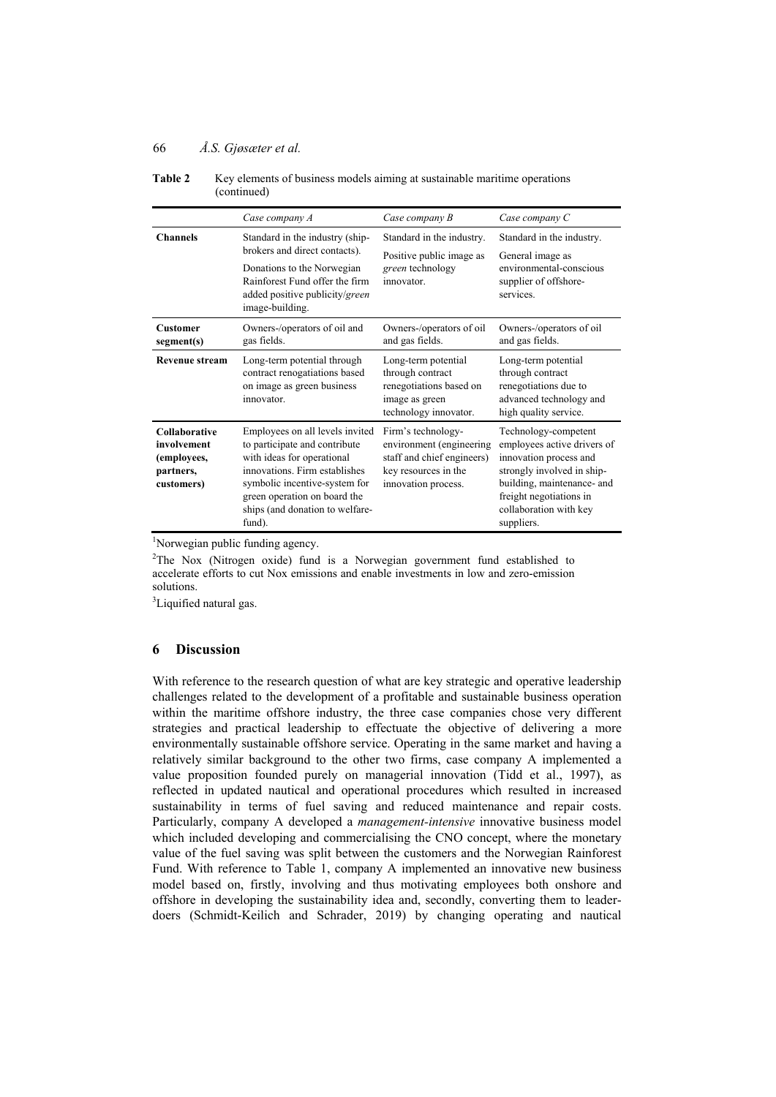|                                                                               | Case company A                                                                                                                                                                                                                                | Case company B                                                                                                              | Case company C                                                                                                                                                                                               |
|-------------------------------------------------------------------------------|-----------------------------------------------------------------------------------------------------------------------------------------------------------------------------------------------------------------------------------------------|-----------------------------------------------------------------------------------------------------------------------------|--------------------------------------------------------------------------------------------------------------------------------------------------------------------------------------------------------------|
| <b>Channels</b>                                                               | Standard in the industry (ship-<br>brokers and direct contacts).<br>Donations to the Norwegian<br>Rainforest Fund offer the firm<br>added positive publicity/green<br>image-building.                                                         | Standard in the industry.<br>Positive public image as<br>green technology<br>innovator.                                     | Standard in the industry.<br>General image as<br>environmental-conscious<br>supplier of offshore-<br>services.                                                                                               |
| <b>Customer</b><br>segment(s)                                                 | Owners-/operators of oil and<br>gas fields.                                                                                                                                                                                                   | Owners-/operators of oil<br>and gas fields.                                                                                 | Owners-/operators of oil<br>and gas fields.                                                                                                                                                                  |
| Revenue stream                                                                | Long-term potential through<br>contract renogatiations based<br>on image as green business<br>innovator.                                                                                                                                      | Long-term potential<br>through contract<br>renegotiations based on<br>image as green<br>technology innovator.               | Long-term potential<br>through contract<br>renegotiations due to<br>advanced technology and<br>high quality service.                                                                                         |
| <b>Collaborative</b><br>involvement<br>(employees,<br>partners,<br>customers) | Employees on all levels invited<br>to participate and contribute<br>with ideas for operational<br>innovations. Firm establishes<br>symbolic incentive-system for<br>green operation on board the<br>ships (and donation to welfare-<br>fund). | Firm's technology-<br>environment (engineering<br>staff and chief engineers)<br>key resources in the<br>innovation process. | Technology-competent<br>employees active drivers of<br>innovation process and<br>strongly involved in ship-<br>building, maintenance- and<br>freight negotiations in<br>collaboration with key<br>suppliers. |

| <b>Table 2</b> | Key elements of business models aiming at sustainable maritime operations |
|----------------|---------------------------------------------------------------------------|
|                | (continued)                                                               |

<sup>1</sup>Norwegian public funding agency.

 $2$ The Nox (Nitrogen oxide) fund is a Norwegian government fund established to accelerate efforts to cut Nox emissions and enable investments in low and zero-emission solutions.

<sup>3</sup>Liquified natural gas.

## **6 Discussion**

With reference to the research question of what are key strategic and operative leadership challenges related to the development of a profitable and sustainable business operation within the maritime offshore industry, the three case companies chose very different strategies and practical leadership to effectuate the objective of delivering a more environmentally sustainable offshore service. Operating in the same market and having a relatively similar background to the other two firms, case company A implemented a value proposition founded purely on managerial innovation (Tidd et al., 1997), as reflected in updated nautical and operational procedures which resulted in increased sustainability in terms of fuel saving and reduced maintenance and repair costs. Particularly, company A developed a *management-intensive* innovative business model which included developing and commercialising the CNO concept, where the monetary value of the fuel saving was split between the customers and the Norwegian Rainforest Fund. With reference to Table 1, company A implemented an innovative new business model based on, firstly, involving and thus motivating employees both onshore and offshore in developing the sustainability idea and, secondly, converting them to leaderdoers (Schmidt-Keilich and Schrader, 2019) by changing operating and nautical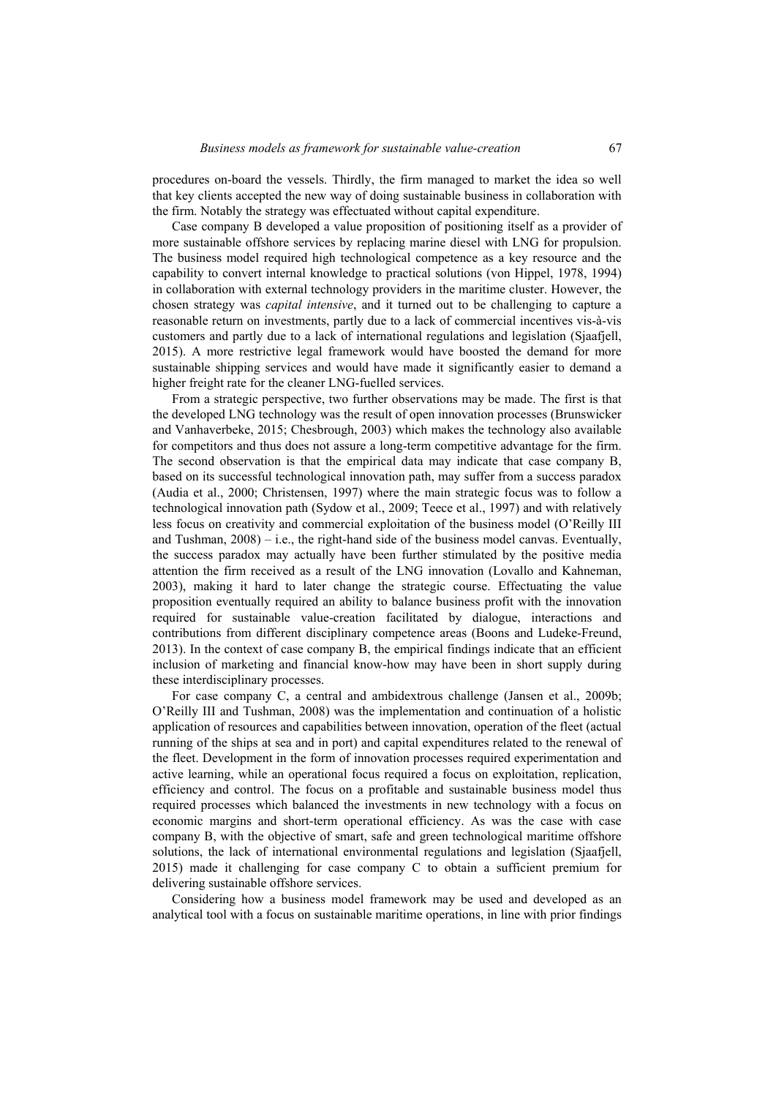procedures on-board the vessels. Thirdly, the firm managed to market the idea so well that key clients accepted the new way of doing sustainable business in collaboration with the firm. Notably the strategy was effectuated without capital expenditure.

Case company B developed a value proposition of positioning itself as a provider of more sustainable offshore services by replacing marine diesel with LNG for propulsion. The business model required high technological competence as a key resource and the capability to convert internal knowledge to practical solutions (von Hippel, 1978, 1994) in collaboration with external technology providers in the maritime cluster. However, the chosen strategy was *capital intensive*, and it turned out to be challenging to capture a reasonable return on investments, partly due to a lack of commercial incentives vis-à-vis customers and partly due to a lack of international regulations and legislation (Sjaafjell, 2015). A more restrictive legal framework would have boosted the demand for more sustainable shipping services and would have made it significantly easier to demand a higher freight rate for the cleaner LNG-fuelled services.

From a strategic perspective, two further observations may be made. The first is that the developed LNG technology was the result of open innovation processes (Brunswicker and Vanhaverbeke, 2015; Chesbrough, 2003) which makes the technology also available for competitors and thus does not assure a long-term competitive advantage for the firm. The second observation is that the empirical data may indicate that case company B, based on its successful technological innovation path, may suffer from a success paradox (Audia et al., 2000; Christensen, 1997) where the main strategic focus was to follow a technological innovation path (Sydow et al., 2009; Teece et al., 1997) and with relatively less focus on creativity and commercial exploitation of the business model (O'Reilly III and Tushman, 2008) – i.e., the right-hand side of the business model canvas. Eventually, the success paradox may actually have been further stimulated by the positive media attention the firm received as a result of the LNG innovation (Lovallo and Kahneman, 2003), making it hard to later change the strategic course. Effectuating the value proposition eventually required an ability to balance business profit with the innovation required for sustainable value-creation facilitated by dialogue, interactions and contributions from different disciplinary competence areas (Boons and Ludeke-Freund, 2013). In the context of case company B, the empirical findings indicate that an efficient inclusion of marketing and financial know-how may have been in short supply during these interdisciplinary processes.

For case company C, a central and ambidextrous challenge (Jansen et al., 2009b; O'Reilly III and Tushman, 2008) was the implementation and continuation of a holistic application of resources and capabilities between innovation, operation of the fleet (actual running of the ships at sea and in port) and capital expenditures related to the renewal of the fleet. Development in the form of innovation processes required experimentation and active learning, while an operational focus required a focus on exploitation, replication, efficiency and control. The focus on a profitable and sustainable business model thus required processes which balanced the investments in new technology with a focus on economic margins and short-term operational efficiency. As was the case with case company B, with the objective of smart, safe and green technological maritime offshore solutions, the lack of international environmental regulations and legislation (Sjaafjell, 2015) made it challenging for case company C to obtain a sufficient premium for delivering sustainable offshore services.

Considering how a business model framework may be used and developed as an analytical tool with a focus on sustainable maritime operations, in line with prior findings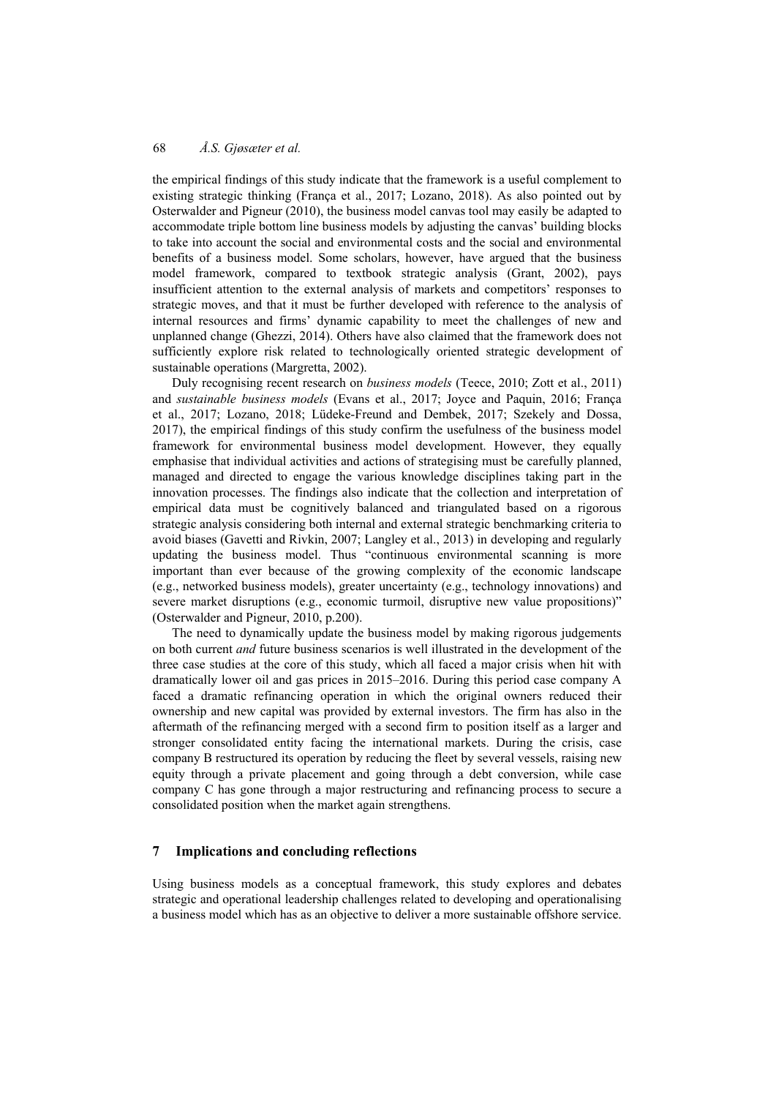the empirical findings of this study indicate that the framework is a useful complement to existing strategic thinking (França et al., 2017; Lozano, 2018). As also pointed out by Osterwalder and Pigneur (2010), the business model canvas tool may easily be adapted to accommodate triple bottom line business models by adjusting the canvas' building blocks to take into account the social and environmental costs and the social and environmental benefits of a business model. Some scholars, however, have argued that the business model framework, compared to textbook strategic analysis (Grant, 2002), pays insufficient attention to the external analysis of markets and competitors' responses to strategic moves, and that it must be further developed with reference to the analysis of internal resources and firms' dynamic capability to meet the challenges of new and unplanned change (Ghezzi, 2014). Others have also claimed that the framework does not sufficiently explore risk related to technologically oriented strategic development of sustainable operations (Margretta, 2002).

Duly recognising recent research on *business models* (Teece, 2010; Zott et al., 2011) and *sustainable business models* (Evans et al., 2017; Joyce and Paquin, 2016; França et al., 2017; Lozano, 2018; Lüdeke-Freund and Dembek, 2017; Szekely and Dossa, 2017), the empirical findings of this study confirm the usefulness of the business model framework for environmental business model development. However, they equally emphasise that individual activities and actions of strategising must be carefully planned, managed and directed to engage the various knowledge disciplines taking part in the innovation processes. The findings also indicate that the collection and interpretation of empirical data must be cognitively balanced and triangulated based on a rigorous strategic analysis considering both internal and external strategic benchmarking criteria to avoid biases (Gavetti and Rivkin, 2007; Langley et al., 2013) in developing and regularly updating the business model. Thus "continuous environmental scanning is more important than ever because of the growing complexity of the economic landscape (e.g., networked business models), greater uncertainty (e.g., technology innovations) and severe market disruptions (e.g., economic turmoil, disruptive new value propositions)" (Osterwalder and Pigneur, 2010, p.200).

The need to dynamically update the business model by making rigorous judgements on both current *and* future business scenarios is well illustrated in the development of the three case studies at the core of this study, which all faced a major crisis when hit with dramatically lower oil and gas prices in 2015–2016. During this period case company A faced a dramatic refinancing operation in which the original owners reduced their ownership and new capital was provided by external investors. The firm has also in the aftermath of the refinancing merged with a second firm to position itself as a larger and stronger consolidated entity facing the international markets. During the crisis, case company B restructured its operation by reducing the fleet by several vessels, raising new equity through a private placement and going through a debt conversion, while case company C has gone through a major restructuring and refinancing process to secure a consolidated position when the market again strengthens.

#### **7 Implications and concluding reflections**

Using business models as a conceptual framework, this study explores and debates strategic and operational leadership challenges related to developing and operationalising a business model which has as an objective to deliver a more sustainable offshore service.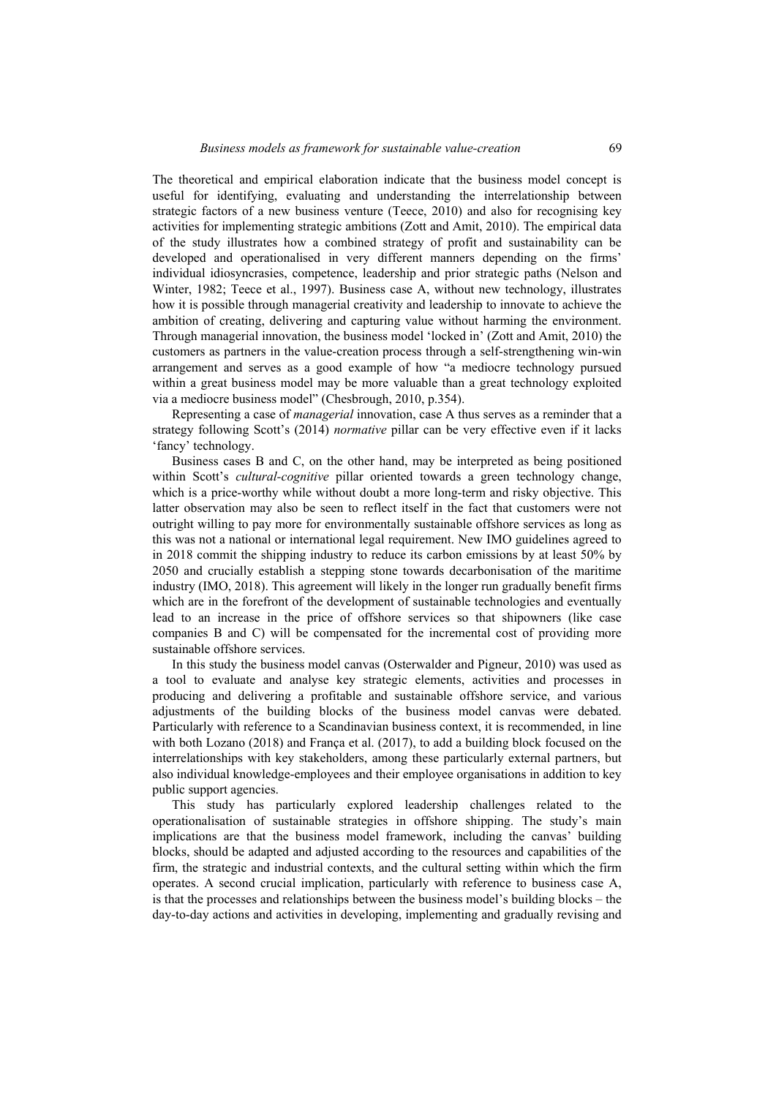The theoretical and empirical elaboration indicate that the business model concept is useful for identifying, evaluating and understanding the interrelationship between strategic factors of a new business venture (Teece, 2010) and also for recognising key activities for implementing strategic ambitions (Zott and Amit, 2010). The empirical data of the study illustrates how a combined strategy of profit and sustainability can be developed and operationalised in very different manners depending on the firms' individual idiosyncrasies, competence, leadership and prior strategic paths (Nelson and Winter, 1982; Teece et al., 1997). Business case A, without new technology, illustrates how it is possible through managerial creativity and leadership to innovate to achieve the ambition of creating, delivering and capturing value without harming the environment. Through managerial innovation, the business model 'locked in' (Zott and Amit, 2010) the customers as partners in the value-creation process through a self-strengthening win-win arrangement and serves as a good example of how "a mediocre technology pursued within a great business model may be more valuable than a great technology exploited via a mediocre business model" (Chesbrough, 2010, p.354).

Representing a case of *managerial* innovation, case A thus serves as a reminder that a strategy following Scott's (2014) *normative* pillar can be very effective even if it lacks 'fancy' technology.

Business cases B and C, on the other hand, may be interpreted as being positioned within Scott's *cultural-cognitive* pillar oriented towards a green technology change, which is a price-worthy while without doubt a more long-term and risky objective. This latter observation may also be seen to reflect itself in the fact that customers were not outright willing to pay more for environmentally sustainable offshore services as long as this was not a national or international legal requirement. New IMO guidelines agreed to in 2018 commit the shipping industry to reduce its carbon emissions by at least 50% by 2050 and crucially establish a stepping stone towards decarbonisation of the maritime industry (IMO, 2018). This agreement will likely in the longer run gradually benefit firms which are in the forefront of the development of sustainable technologies and eventually lead to an increase in the price of offshore services so that shipowners (like case companies B and C) will be compensated for the incremental cost of providing more sustainable offshore services.

In this study the business model canvas (Osterwalder and Pigneur, 2010) was used as a tool to evaluate and analyse key strategic elements, activities and processes in producing and delivering a profitable and sustainable offshore service, and various adjustments of the building blocks of the business model canvas were debated. Particularly with reference to a Scandinavian business context, it is recommended, in line with both Lozano (2018) and França et al. (2017), to add a building block focused on the interrelationships with key stakeholders, among these particularly external partners, but also individual knowledge-employees and their employee organisations in addition to key public support agencies.

This study has particularly explored leadership challenges related to the operationalisation of sustainable strategies in offshore shipping. The study's main implications are that the business model framework, including the canvas' building blocks, should be adapted and adjusted according to the resources and capabilities of the firm, the strategic and industrial contexts, and the cultural setting within which the firm operates. A second crucial implication, particularly with reference to business case A, is that the processes and relationships between the business model's building blocks – the day-to-day actions and activities in developing, implementing and gradually revising and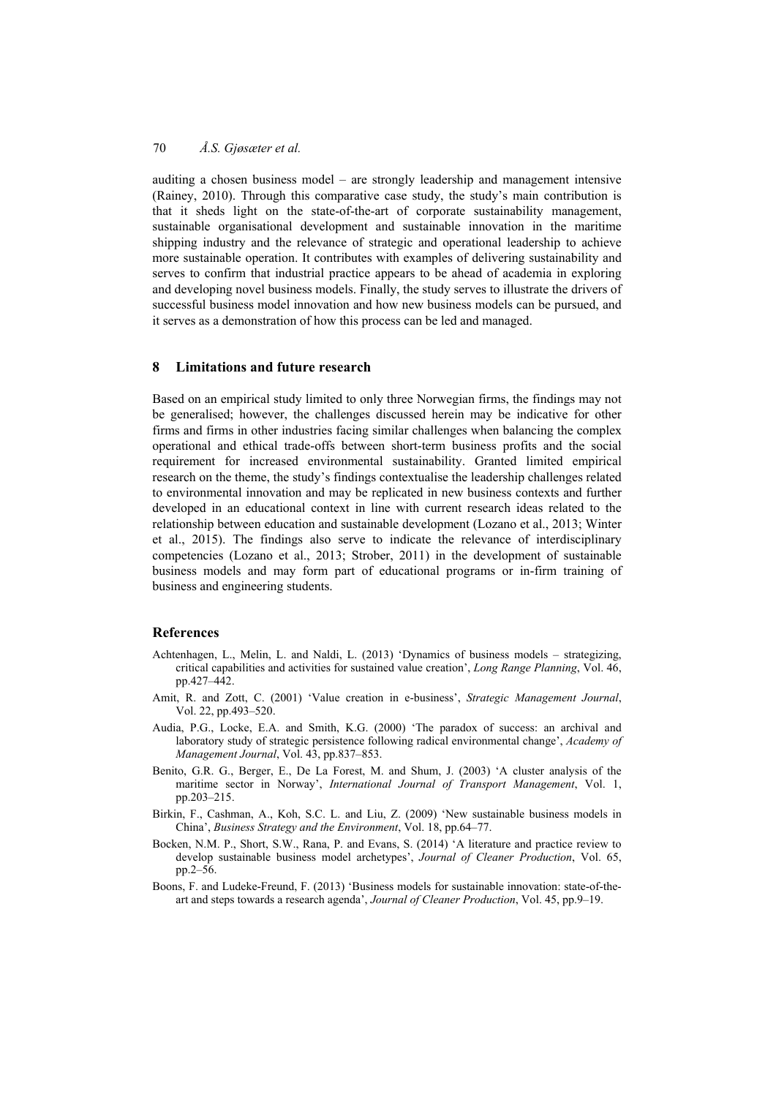auditing a chosen business model – are strongly leadership and management intensive (Rainey, 2010). Through this comparative case study, the study's main contribution is that it sheds light on the state-of-the-art of corporate sustainability management, sustainable organisational development and sustainable innovation in the maritime shipping industry and the relevance of strategic and operational leadership to achieve more sustainable operation. It contributes with examples of delivering sustainability and serves to confirm that industrial practice appears to be ahead of academia in exploring and developing novel business models. Finally, the study serves to illustrate the drivers of successful business model innovation and how new business models can be pursued, and it serves as a demonstration of how this process can be led and managed.

#### **8 Limitations and future research**

Based on an empirical study limited to only three Norwegian firms, the findings may not be generalised; however, the challenges discussed herein may be indicative for other firms and firms in other industries facing similar challenges when balancing the complex operational and ethical trade-offs between short-term business profits and the social requirement for increased environmental sustainability. Granted limited empirical research on the theme, the study's findings contextualise the leadership challenges related to environmental innovation and may be replicated in new business contexts and further developed in an educational context in line with current research ideas related to the relationship between education and sustainable development (Lozano et al., 2013; Winter et al., 2015). The findings also serve to indicate the relevance of interdisciplinary competencies (Lozano et al., 2013; Strober, 2011) in the development of sustainable business models and may form part of educational programs or in-firm training of business and engineering students.

## **References**

- Achtenhagen, L., Melin, L. and Naldi, L. (2013) 'Dynamics of business models strategizing, critical capabilities and activities for sustained value creation', *Long Range Planning*, Vol. 46, pp.427–442.
- Amit, R. and Zott, C. (2001) 'Value creation in e-business', *Strategic Management Journal*, Vol. 22, pp.493–520.
- Audia, P.G., Locke, E.A. and Smith, K.G. (2000) 'The paradox of success: an archival and laboratory study of strategic persistence following radical environmental change', *Academy of Management Journal*, Vol. 43, pp.837–853.
- Benito, G.R. G., Berger, E., De La Forest, M. and Shum, J. (2003) 'A cluster analysis of the maritime sector in Norway', *International Journal of Transport Management*, Vol. 1, pp.203–215.
- Birkin, F., Cashman, A., Koh, S.C. L. and Liu, Z. (2009) 'New sustainable business models in China', *Business Strategy and the Environment*, Vol. 18, pp.64–77.
- Bocken, N.M. P., Short, S.W., Rana, P. and Evans, S. (2014) 'A literature and practice review to develop sustainable business model archetypes', *Journal of Cleaner Production*, Vol. 65, pp.2–56.
- Boons, F. and Ludeke-Freund, F. (2013) 'Business models for sustainable innovation: state-of-theart and steps towards a research agenda', *Journal of Cleaner Production*, Vol. 45, pp.9–19.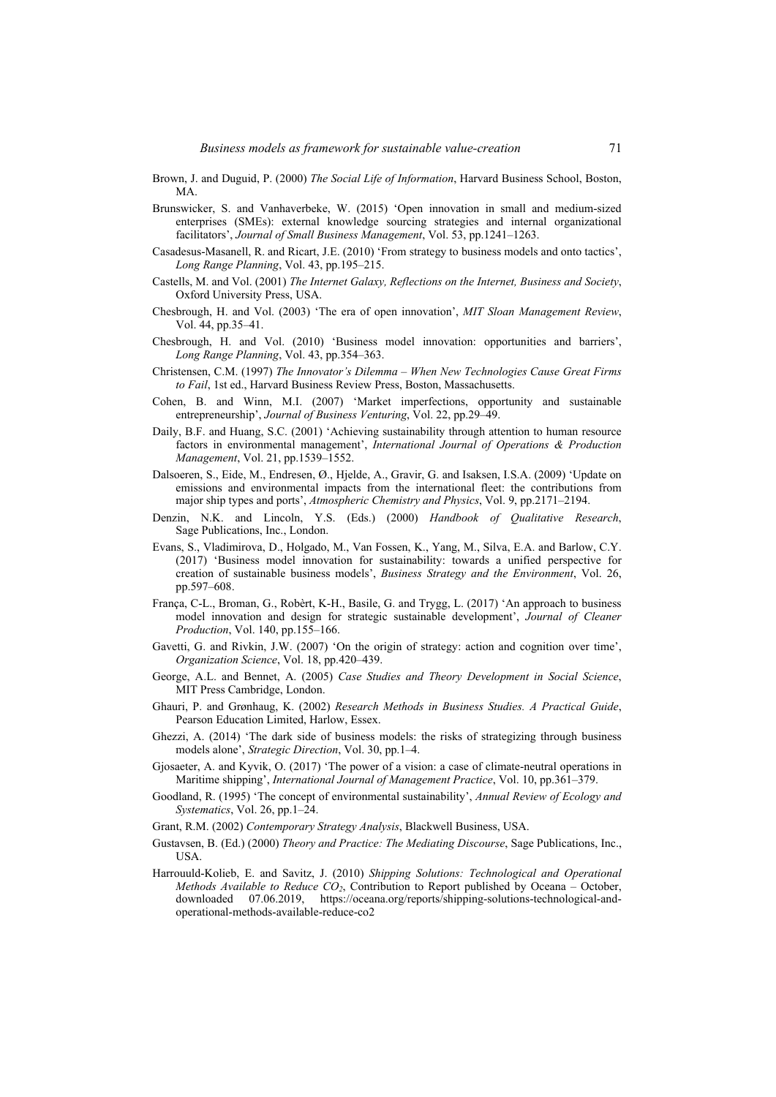- Brown, J. and Duguid, P. (2000) *The Social Life of Information*, Harvard Business School, Boston, MA.
- Brunswicker, S. and Vanhaverbeke, W. (2015) 'Open innovation in small and medium-sized enterprises (SMEs): external knowledge sourcing strategies and internal organizational facilitators', *Journal of Small Business Management*, Vol. 53, pp.1241–1263.
- Casadesus-Masanell, R. and Ricart, J.E. (2010) 'From strategy to business models and onto tactics', *Long Range Planning*, Vol. 43, pp.195–215.
- Castells, M. and Vol. (2001) *The Internet Galaxy, Reflections on the Internet, Business and Society*, Oxford University Press, USA.
- Chesbrough, H. and Vol. (2003) 'The era of open innovation', *MIT Sloan Management Review*, Vol. 44, pp.35–41.
- Chesbrough, H. and Vol. (2010) 'Business model innovation: opportunities and barriers', *Long Range Planning*, Vol. 43, pp.354–363.
- Christensen, C.M. (1997) *The Innovator's Dilemma When New Technologies Cause Great Firms to Fail*, 1st ed., Harvard Business Review Press, Boston, Massachusetts.
- Cohen, B. and Winn, M.I. (2007) 'Market imperfections, opportunity and sustainable entrepreneurship', *Journal of Business Venturing*, Vol. 22, pp.29–49.
- Daily, B.F. and Huang, S.C. (2001) 'Achieving sustainability through attention to human resource factors in environmental management', *International Journal of Operations & Production Management*, Vol. 21, pp.1539–1552.
- Dalsoeren, S., Eide, M., Endresen, Ø., Hjelde, A., Gravir, G. and Isaksen, I.S.A. (2009) 'Update on emissions and environmental impacts from the international fleet: the contributions from major ship types and ports', *Atmospheric Chemistry and Physics*, Vol. 9, pp.2171–2194.
- Denzin, N.K. and Lincoln, Y.S. (Eds.) (2000) *Handbook of Qualitative Research*, Sage Publications, Inc., London.
- Evans, S., Vladimirova, D., Holgado, M., Van Fossen, K., Yang, M., Silva, E.A. and Barlow, C.Y. (2017) 'Business model innovation for sustainability: towards a unified perspective for creation of sustainable business models', *Business Strategy and the Environment*, Vol. 26, pp.597–608.
- França, C-L., Broman, G., Robèrt, K-H., Basile, G. and Trygg, L. (2017) 'An approach to business model innovation and design for strategic sustainable development', *Journal of Cleaner Production*, Vol. 140, pp.155–166.
- Gavetti, G. and Rivkin, J.W. (2007) 'On the origin of strategy: action and cognition over time', *Organization Science*, Vol. 18, pp.420–439.
- George, A.L. and Bennet, A. (2005) *Case Studies and Theory Development in Social Science*, MIT Press Cambridge, London.
- Ghauri, P. and Grønhaug, K. (2002) *Research Methods in Business Studies. A Practical Guide*, Pearson Education Limited, Harlow, Essex.
- Ghezzi, A. (2014) 'The dark side of business models: the risks of strategizing through business models alone', *Strategic Direction*, Vol. 30, pp.1–4.
- Gjosaeter, A. and Kyvik, O. (2017) 'The power of a vision: a case of climate-neutral operations in Maritime shipping', *International Journal of Management Practice*, Vol. 10, pp.361–379.
- Goodland, R. (1995) 'The concept of environmental sustainability', *Annual Review of Ecology and Systematics*, Vol. 26, pp.1–24.
- Grant, R.M. (2002) *Contemporary Strategy Analysis*, Blackwell Business, USA.
- Gustavsen, B. (Ed.) (2000) *Theory and Practice: The Mediating Discourse*, Sage Publications, Inc., USA.
- Harrouuld-Kolieb, E. and Savitz, J. (2010) *Shipping Solutions: Technological and Operational Methods Available to Reduce CO<sub>2</sub>*, Contribution to Report published by Oceana – October, downloaded 07.06.2019, https://oceana.org/reports/shipping-solutions-technological-and-07.06.2019, https://oceana.org/reports/shipping-solutions-technological-andoperational-methods-available-reduce-co2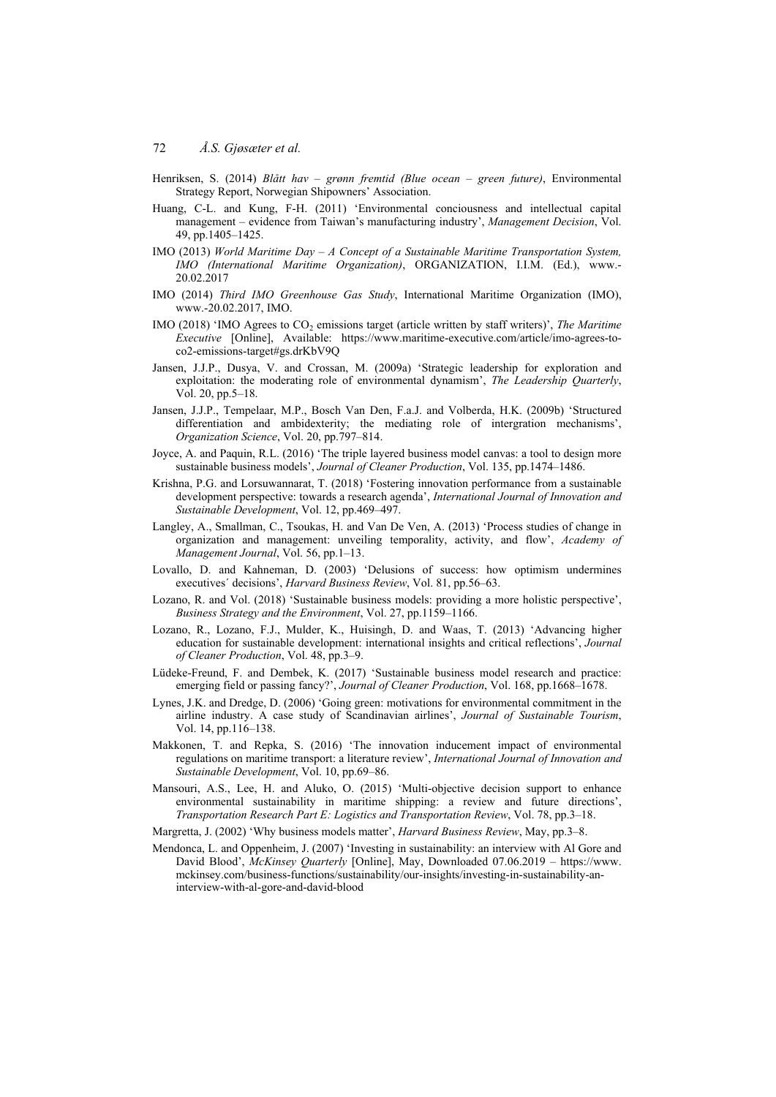- Henriksen, S. (2014) *Blått hav grønn fremtid (Blue ocean green future)*, Environmental Strategy Report, Norwegian Shipowners' Association.
- Huang, C-L. and Kung, F-H. (2011) 'Environmental conciousness and intellectual capital management – evidence from Taiwan's manufacturing industry', *Management Decision*, Vol. 49, pp.1405–1425.
- IMO (2013) *World Maritime Day A Concept of a Sustainable Maritime Transportation System, IMO (International Maritime Organization)*, ORGANIZATION, I.I.M. (Ed.), www.- 20.02.2017
- IMO (2014) *Third IMO Greenhouse Gas Study*, International Maritime Organization (IMO), www.-20.02.2017, IMO.
- IMO (2018) 'IMO Agrees to CO<sub>2</sub> emissions target (article written by staff writers)', *The Maritime Executive* [Online], Available: https://www.maritime-executive.com/article/imo-agrees-toco2-emissions-target#gs.drKbV9Q
- Jansen, J.J.P., Dusya, V. and Crossan, M. (2009a) 'Strategic leadership for exploration and exploitation: the moderating role of environmental dynamism', *The Leadership Quarterly*, Vol. 20, pp.5–18.
- Jansen, J.J.P., Tempelaar, M.P., Bosch Van Den, F.a.J. and Volberda, H.K. (2009b) 'Structured differentiation and ambidexterity; the mediating role of intergration mechanisms', *Organization Science*, Vol. 20, pp.797–814.
- Joyce, A. and Paquin, R.L. (2016) 'The triple layered business model canvas: a tool to design more sustainable business models', *Journal of Cleaner Production*, Vol. 135, pp.1474–1486.
- Krishna, P.G. and Lorsuwannarat, T. (2018) 'Fostering innovation performance from a sustainable development perspective: towards a research agenda', *International Journal of Innovation and Sustainable Development*, Vol. 12, pp.469–497.
- Langley, A., Smallman, C., Tsoukas, H. and Van De Ven, A. (2013) 'Process studies of change in organization and management: unveiling temporality, activity, and flow', *Academy of Management Journal*, Vol. 56, pp.1–13.
- Lovallo, D. and Kahneman, D. (2003) 'Delusions of success: how optimism undermines executives´ decisions', *Harvard Business Review*, Vol. 81, pp.56–63.
- Lozano, R. and Vol. (2018) 'Sustainable business models: providing a more holistic perspective', *Business Strategy and the Environment*, Vol. 27, pp.1159–1166.
- Lozano, R., Lozano, F.J., Mulder, K., Huisingh, D. and Waas, T. (2013) 'Advancing higher education for sustainable development: international insights and critical reflections', *Journal of Cleaner Production*, Vol. 48, pp.3–9.
- Lüdeke-Freund, F. and Dembek, K. (2017) 'Sustainable business model research and practice: emerging field or passing fancy?', *Journal of Cleaner Production*, Vol. 168, pp.1668–1678.
- Lynes, J.K. and Dredge, D. (2006) 'Going green: motivations for environmental commitment in the airline industry. A case study of Scandinavian airlines', *Journal of Sustainable Tourism*, Vol. 14, pp.116–138.
- Makkonen, T. and Repka, S. (2016) 'The innovation inducement impact of environmental regulations on maritime transport: a literature review', *International Journal of Innovation and Sustainable Development*, Vol. 10, pp.69–86.
- Mansouri, A.S., Lee, H. and Aluko, O. (2015) 'Multi-objective decision support to enhance environmental sustainability in maritime shipping: a review and future directions', *Transportation Research Part E: Logistics and Transportation Review*, Vol. 78, pp.3–18.
- Margretta, J. (2002) 'Why business models matter', *Harvard Business Review*, May, pp.3–8.
- Mendonca, L. and Oppenheim, J. (2007) 'Investing in sustainability: an interview with Al Gore and David Blood', *McKinsey Quarterly* [Online], May, Downloaded 07.06.2019 – https://www. mckinsey.com/business-functions/sustainability/our-insights/investing-in-sustainability-aninterview-with-al-gore-and-david-blood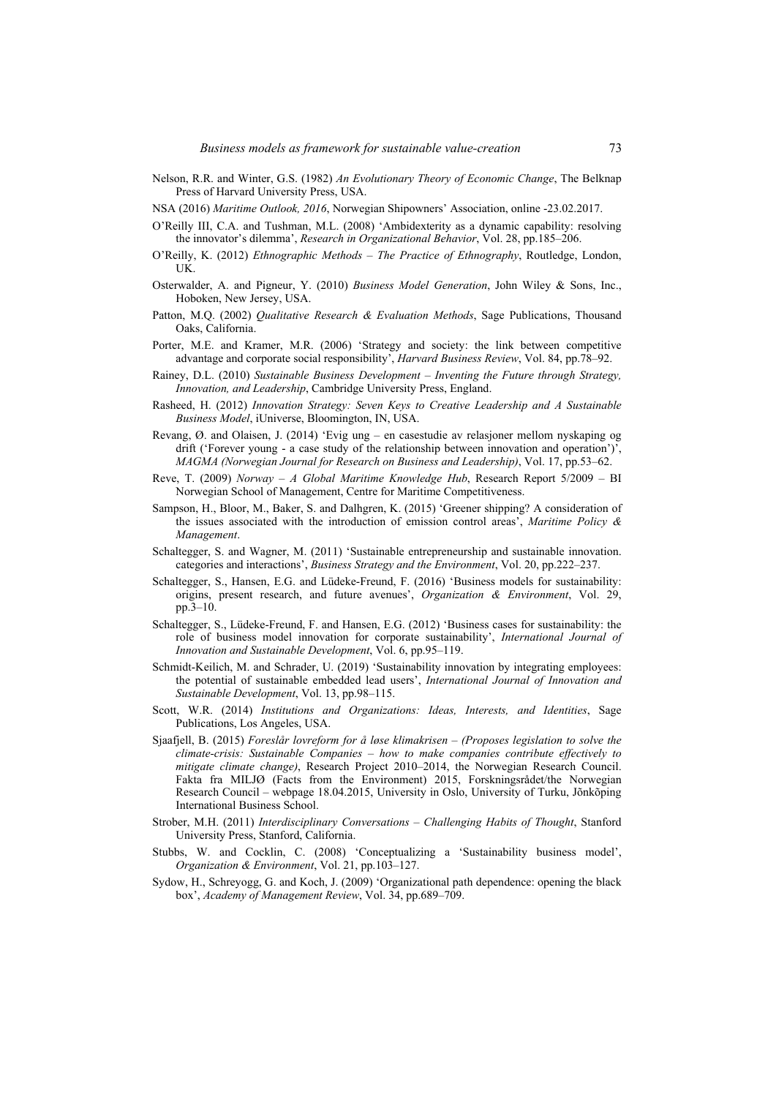- Nelson, R.R. and Winter, G.S. (1982) *An Evolutionary Theory of Economic Change*, The Belknap Press of Harvard University Press, USA.
- NSA (2016) *Maritime Outlook, 2016*, Norwegian Shipowners' Association, online -23.02.2017.
- O'Reilly III, C.A. and Tushman, M.L. (2008) 'Ambidexterity as a dynamic capability: resolving the innovator's dilemma', *Research in Organizational Behavior*, Vol. 28, pp.185–206.
- O'Reilly, K. (2012) *Ethnographic Methods The Practice of Ethnography*, Routledge, London, UK.
- Osterwalder, A. and Pigneur, Y. (2010) *Business Model Generation*, John Wiley & Sons, Inc., Hoboken, New Jersey, USA.
- Patton, M.Q. (2002) *Qualitative Research & Evaluation Methods*, Sage Publications, Thousand Oaks, California.
- Porter, M.E. and Kramer, M.R. (2006) 'Strategy and society: the link between competitive advantage and corporate social responsibility', *Harvard Business Review*, Vol. 84, pp.78–92.
- Rainey, D.L. (2010) *Sustainable Business Development Inventing the Future through Strategy, Innovation, and Leadership*, Cambridge University Press, England.
- Rasheed, H. (2012) *Innovation Strategy: Seven Keys to Creative Leadership and A Sustainable Business Model*, iUniverse, Bloomington, IN, USA.
- Revang, Ø. and Olaisen, J. (2014) 'Evig ung en casestudie av relasjoner mellom nyskaping og drift ('Forever young - a case study of the relationship between innovation and operation')', *MAGMA (Norwegian Journal for Research on Business and Leadership)*, Vol. 17, pp.53–62.
- Reve, T. (2009) *Norway A Global Maritime Knowledge Hub*, Research Report 5/2009 BI Norwegian School of Management, Centre for Maritime Competitiveness.
- Sampson, H., Bloor, M., Baker, S. and Dalhgren, K. (2015) 'Greener shipping? A consideration of the issues associated with the introduction of emission control areas', *Maritime Policy & Management*.
- Schaltegger, S. and Wagner, M. (2011) 'Sustainable entrepreneurship and sustainable innovation. categories and interactions', *Business Strategy and the Environment*, Vol. 20, pp.222–237.
- Schaltegger, S., Hansen, E.G. and Lüdeke-Freund, F. (2016) 'Business models for sustainability: origins, present research, and future avenues', *Organization & Environment*, Vol. 29, pp.3–10.
- Schaltegger, S., Lüdeke-Freund, F. and Hansen, E.G. (2012) 'Business cases for sustainability: the role of business model innovation for corporate sustainability', *International Journal of Innovation and Sustainable Development*, Vol. 6, pp.95–119.
- Schmidt-Keilich, M. and Schrader, U. (2019) 'Sustainability innovation by integrating employees: the potential of sustainable embedded lead users', *International Journal of Innovation and Sustainable Development*, Vol. 13, pp.98–115.
- Scott, W.R. (2014) *Institutions and Organizations: Ideas, Interests, and Identities*, Sage Publications, Los Angeles, USA.
- Sjaafjell, B. (2015) *Foreslår lovreform for å løse klimakrisen (Proposes legislation to solve the climate-crisis: Sustainable Companies – how to make companies contribute effectively to mitigate climate change)*, Research Project 2010–2014, the Norwegian Research Council. Fakta fra MILJØ (Facts from the Environment) 2015, Forskningsrådet/the Norwegian Research Council – webpage 18.04.2015, University in Oslo, University of Turku, Jõnkõping International Business School.
- Strober, M.H. (2011) *Interdisciplinary Conversations Challenging Habits of Thought*, Stanford University Press, Stanford, California.
- Stubbs, W. and Cocklin, C. (2008) 'Conceptualizing a 'Sustainability business model', *Organization & Environment*, Vol. 21, pp.103–127.
- Sydow, H., Schreyogg, G. and Koch, J. (2009) 'Organizational path dependence: opening the black box', *Academy of Management Review*, Vol. 34, pp.689–709.